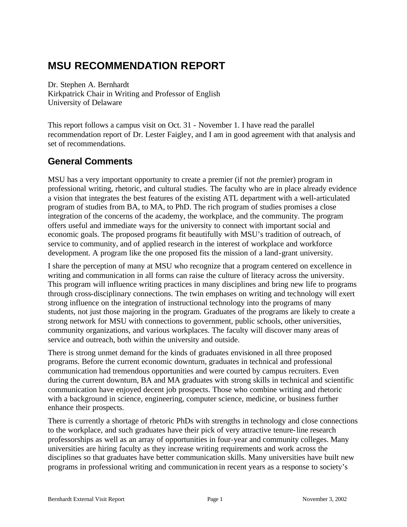# **MSU RECOMMENDATION REPORT**

Dr. Stephen A. Bernhardt Kirkpatrick Chair in Writing and Professor of English University of Delaware

This report follows a campus visit on Oct. 31 - November 1. I have read the parallel recommendation report of Dr. Lester Faigley, and I am in good agreement with that analysis and set of recommendations.

# **General Comments**

MSU has a very important opportunity to create a premier (if not *the* premier) program in professional writing, rhetoric, and cultural studies. The faculty who are in place already evidence a vision that integrates the best features of the existing ATL department with a well-articulated program of studies from BA, to MA, to PhD. The rich program of studies promises a close integration of the concerns of the academy, the workplace, and the community. The program offers useful and immediate ways for the university to connect with important social and economic goals. The proposed programs fit beautifully with MSU's tradition of outreach, of service to community, and of applied research in the interest of workplace and workforce development. A program like the one proposed fits the mission of a land-grant university.

I share the perception of many at MSU who recognize that a program centered on excellence in writing and communication in all forms can raise the culture of literacy across the university. This program will influence writing practices in many disciplines and bring new life to programs through cross-disciplinary connections. The twin emphases on writing and technology will exert strong influence on the integration of instructional technology into the programs of many students, not just those majoring in the program. Graduates of the programs are likely to create a strong network for MSU with connections to government, public schools, other universities, community organizations, and various workplaces. The faculty will discover many areas of service and outreach, both within the university and outside.

There is strong unmet demand for the kinds of graduates envisioned in all three proposed programs. Before the current economic downturn, graduates in technical and professional communication had tremendous opportunities and were courted by campus recruiters. Even during the current downturn, BA and MA graduates with strong skills in technical and scientific communication have enjoyed decent job prospects. Those who combine writing and rhetoric with a background in science, engineering, computer science, medicine, or business further enhance their prospects.

There is currently a shortage of rhetoric PhDs with strengths in technology and close connections to the workplace, and such graduates have their pick of very attractive tenure-line research professorships as well as an array of opportunities in four-year and community colleges. Many universities are hiring faculty as they increase writing requirements and work across the disciplines so that graduates have better communication skills. Many universities have built new programs in professional writing and communication in recent years as a response to society's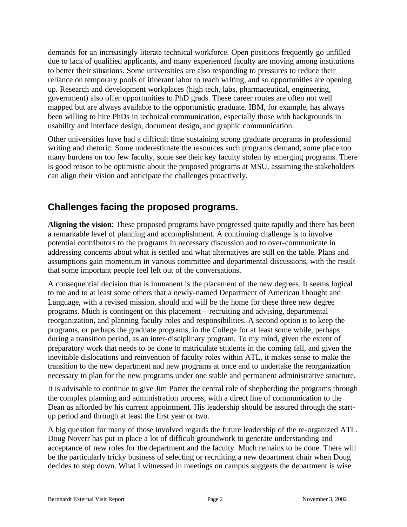demands for an increasingly literate technical workforce. Open positions frequently go unfilled due to lack of qualified applicants, and many experienced faculty are moving among institutions to better their situations. Some universities are also responding to pressures to reduce their reliance on temporary pools of itinerant labor to teach writing, and so opportunities are opening up. Research and development workplaces (high tech, labs, pharmaceutical, engineering, government) also offer opportunities to PhD grads. These career routes are often not well mapped but are always available to the opportunistic graduate. IBM, for example, has always been willing to hire PhDs in technical communication, especially those with backgrounds in usability and interface design, document design, and graphic communication.

Other universities have had a difficult time sustaining strong graduate programs in professional writing and rhetoric. Some underestimate the resources such programs demand, some place too many burdens on too few faculty, some see their key faculty stolen by emerging programs. There is good reason to be optimistic about the proposed programs at MSU, assuming the stakeholders can align their vision and anticipate the challenges proactively.

# **Challenges facing the proposed programs.**

**Aligning the vision**: These proposed programs have progressed quite rapidly and there has been a remarkable level of planning and accomplishment. A continuing challenge is to involve potential contributors to the programs in necessary discussion and to over-communicate in addressing concerns about what is settled and what alternatives are still on the table. Plans and assumptions gain momentum in various committee and departmental discussions, with the result that some important people feel left out of the conversations.

A consequential decision that is immanent is the placement of the new degrees. It seems logical to me and to at least some others that a newly-named Department of American Thought and Language, with a revised mission, should and will be the home for these three new degree programs. Much is contingent on this placement—recruiting and advising, departmental reorganization, and planning faculty roles and responsibilities. A second option is to keep the programs, or perhaps the graduate programs, in the College for at least some while, perhaps during a transition period, as an inter-disciplinary program. To my mind, given the extent of preparatory work that needs to be done to matriculate students in the coming fall, and given the inevitable dislocations and reinvention of faculty roles within ATL, it makes sense to make the transition to the new department and new programs at once and to undertake the reorganization necessary to plan for the new programs under one stable and permanent administrative structure.

It is advisable to continue to give Jim Porter the central role of shepherding the programs through the complex planning and administration process, with a direct line of communication to the Dean as afforded by his current appointment. His leadership should be assured through the startup period and through at least the first year or two.

A big question for many of those involved regards the future leadership of the re-organized ATL. Doug Noverr has put in place a lot of difficult groundwork to generate understanding and acceptance of new roles for the department and the faculty. Much remains to be done. There will be the particularly tricky business of selecting or recruiting a new department chair when Doug decides to step down. What I witnessed in meetings on campus suggests the department is wise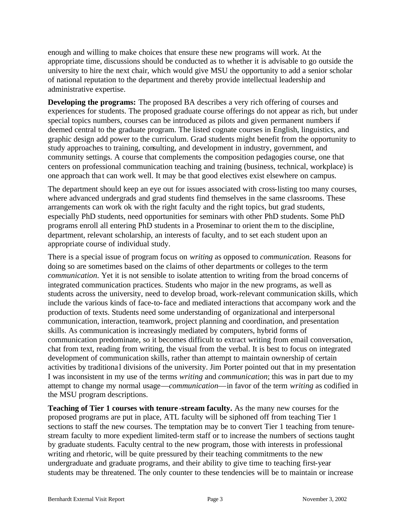enough and willing to make choices that ensure these new programs will work. At the appropriate time, discussions should be conducted as to whether it is advisable to go outside the university to hire the next chair, which would give MSU the opportunity to add a senior scholar of national reputation to the department and thereby provide intellectual leadership and administrative expertise.

**Developing the programs:** The proposed BA describes a very rich offering of courses and experiences for students. The proposed graduate course offerings do not appear as rich, but under special topics numbers, courses can be introduced as pilots and given permanent numbers if deemed central to the graduate program. The listed cognate courses in English, linguistics, and graphic design add power to the curriculum. Grad students might benefit from the opportunity to study approaches to training, consulting, and development in industry, government, and community settings. A course that complements the composition pedagogies course, one that centers on professional communication teaching and training (business, technical, workplace) is one approach tha t can work well. It may be that good electives exist elsewhere on campus.

The department should keep an eye out for issues associated with cross-listing too many courses, where advanced undergrads and grad students find themselves in the same classrooms. These arrangements can work ok with the right faculty and the right topics, but grad students, especially PhD students, need opportunities for seminars with other PhD students. Some PhD programs enroll all entering PhD students in a Proseminar to orient them to the discipline, department, relevant scholarship, an interests of faculty, and to set each student upon an appropriate course of individual study.

There is a special issue of program focus on *writing* as opposed to *communication.* Reasons for doing so are sometimes based on the claims of other departments or colleges to the term *communication*. Yet it is not sensible to isolate attention to writing from the broad concerns of integrated communication practices. Students who major in the new programs, as well as students across the university, need to develop broad, work-relevant communication skills, which include the various kinds of face-to-face and mediated interactions that accompany work and the production of texts. Students need some understanding of organizational and interpersonal communication, interaction, teamwork, project planning and coordination, and presentation skills. As communication is increasingly mediated by computers, hybrid forms of communication predominate, so it becomes difficult to extract writing from email conversation, chat from text, reading from writing, the visual from the verbal. It is best to focus on integrated development of communication skills, rather than attempt to maintain ownership of certain activities by traditiona l divisions of the university. Jim Porter pointed out that in my presentation I was inconsistent in my use of the terms *writing* and *communication*; this was in part due to my attempt to change my normal usage—*communication*—in favor of the term *writing* as codified in the MSU program descriptions.

**Teaching of Tier 1 courses with tenure -stream faculty.** As the many new courses for the proposed programs are put in place, ATL faculty will be siphoned off from teaching Tier 1 sections to staff the new courses. The temptation may be to convert Tier 1 teaching from tenurestream faculty to more expedient limited-term staff or to increase the numbers of sections taught by graduate students. Faculty central to the new program, those with interests in professional writing and rhetoric, will be quite pressured by their teaching commitments to the new undergraduate and graduate programs, and their ability to give time to teaching first-year students may be threatened. The only counter to these tendencies will be to maintain or increase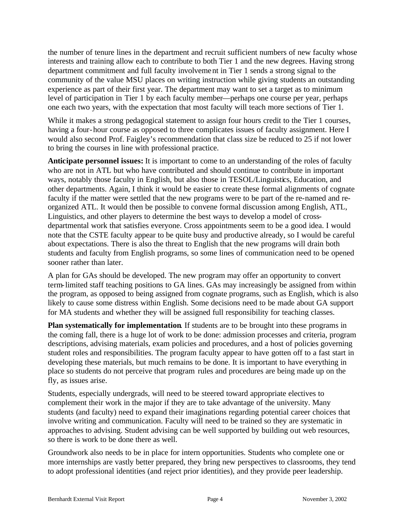the number of tenure lines in the department and recruit sufficient numbers of new faculty whose interests and training allow each to contribute to both Tier 1 and the new degrees. Having strong department commitment and full faculty involvement in Tier 1 sends a strong signal to the community of the value MSU places on writing instruction while giving students an outstanding experience as part of their first year. The department may want to set a target as to minimum level of participation in Tier 1 by each faculty member—perhaps one course per year, perhaps one each two years, with the expectation that most faculty will teach more sections of Tier 1.

While it makes a strong pedagogical statement to assign four hours credit to the Tier 1 courses, having a four-hour course as opposed to three complicates issues of faculty assignment. Here I would also second Prof. Faigley's recommendation that class size be reduced to 25 if not lower to bring the courses in line with professional practice.

**Anticipate personnel issues:** It is important to come to an understanding of the roles of faculty who are not in ATL but who have contributed and should continue to contribute in important ways, notably those faculty in English, but also those in TESOL/Linguistics, Education, and other departments. Again, I think it would be easier to create these formal alignments of cognate faculty if the matter were settled that the new programs were to be part of the re-named and reorganized ATL. It would then be possible to convene formal discussion among English, ATL, Linguistics, and other players to determine the best ways to develop a model of crossdepartmental work that satisfies everyone. Cross appointments seem to be a good idea. I would note that the CSTE faculty appear to be quite busy and productive already, so I would be careful about expectations. There is also the threat to English that the new programs will drain both students and faculty from English programs, so some lines of communication need to be opened sooner rather than later.

A plan for GAs should be developed. The new program may offer an opportunity to convert term-limited staff teaching positions to GA lines. GAs may increasingly be assigned from within the program, as opposed to being assigned from cognate programs, such as English, which is also likely to cause some distress within English. Some decisions need to be made about GA support for MA students and whether they will be assigned full responsibility for teaching classes.

**Plan systematically for implementation**. If students are to be brought into these programs in the coming fall, there is a huge lot of work to be done: admission processes and criteria, program descriptions, advising materials, exam policies and procedures, and a host of policies governing student roles and responsibilities. The program faculty appear to have gotten off to a fast start in developing these materials, but much remains to be done. It is important to have everything in place so students do not perceive that program rules and procedures are being made up on the fly, as issues arise.

Students, especially undergrads, will need to be steered toward appropriate electives to complement their work in the major if they are to take advantage of the university. Many students (and faculty) need to expand their imaginations regarding potential career choices that involve writing and communication. Faculty will need to be trained so they are systematic in approaches to advising. Student advising can be well supported by building out web resources, so there is work to be done there as well.

Groundwork also needs to be in place for intern opportunities. Students who complete one or more internships are vastly better prepared, they bring new perspectives to classrooms, they tend to adopt professional identities (and reject prior identities), and they provide peer leadership.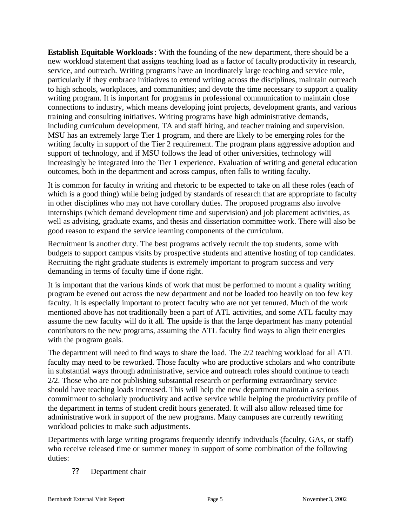**Establish Equitable Workloads**: With the founding of the new department, there should be a new workload statement that assigns teaching load as a factor of faculty productivity in research, service, and outreach. Writing programs have an inordinately large teaching and service role, particularly if they embrace initiatives to extend writing across the disciplines, maintain outreach to high schools, workplaces, and communities; and devote the time necessary to support a quality writing program. It is important for programs in professional communication to maintain close connections to industry, which means developing joint projects, development grants, and various training and consulting initiatives. Writing programs have high administrative demands, including curriculum development, TA and staff hiring, and teacher training and supervision. MSU has an extremely large Tier 1 program, and there are likely to be emerging roles for the writing faculty in support of the Tier 2 requirement. The program plans aggressive adoption and support of technology, and if MSU follows the lead of other universities, technology will increasingly be integrated into the Tier 1 experience. Evaluation of writing and general education outcomes, both in the department and across campus, often falls to writing faculty.

It is common for faculty in writing and rhetoric to be expected to take on all these roles (each of which is a good thing) while being judged by standards of research that are appropriate to faculty in other disciplines who may not have corollary duties. The proposed programs also involve internships (which demand development time and supervision) and job placement activities, as well as advising, graduate exams, and thesis and dissertation committee work. There will also be good reason to expand the service learning components of the curriculum.

Recruitment is another duty. The best programs actively recruit the top students, some with budgets to support campus visits by prospective students and attentive hosting of top candidates. Recruiting the right graduate students is extremely important to program success and very demanding in terms of faculty time if done right.

It is important that the various kinds of work that must be performed to mount a quality writing program be evened out across the new department and not be loaded too heavily on too few key faculty. It is especially important to protect faculty who are not yet tenured. Much of the work mentioned above has not traditionally been a part of ATL activities, and some ATL faculty may assume the new faculty will do it all. The upside is that the large department has many potential contributors to the new programs, assuming the ATL faculty find ways to align their energies with the program goals.

The department will need to find ways to share the load. The 2/2 teaching workload for all ATL faculty may need to be reworked. Those faculty who are productive scholars and who contribute in substantial ways through administrative, service and outreach roles should continue to teach 2/2. Those who are not publishing substantial research or performing extraordinary service should have teaching loads increased. This will help the new department maintain a serious commitment to scholarly productivity and active service while helping the productivity profile of the department in terms of student credit hours generated. It will also allow released time for administrative work in support of the new programs. Many campuses are currently rewriting workload policies to make such adjustments.

Departments with large writing programs frequently identify individuals (faculty, GAs, or staff) who receive released time or summer money in support of some combination of the following duties:

#### ?? Department chair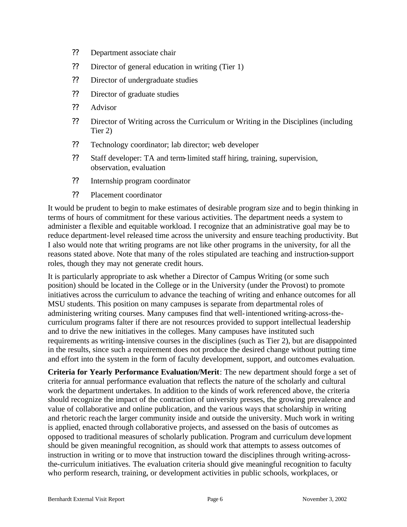- ?? Department associate chair
- ?? Director of general education in writing (Tier 1)
- ?? Director of undergraduate studies
- ?? Director of graduate studies
- ?? Advisor
- ?? Director of Writing across the Curriculum or Writing in the Disciplines (including Tier 2)
- ?? Technology coordinator; lab director; web developer
- ?? Staff developer: TA and term-limited staff hiring, training, supervision, observation, evaluation
- ?? Internship program coordinator
- ?? Placement coordinator

It would be prudent to begin to make estimates of desirable program size and to begin thinking in terms of hours of commitment for these various activities. The department needs a system to administer a flexible and equitable workload. I recognize that an administrative goal may be to reduce department-level released time across the university and ensure teaching productivity. But I also would note that writing programs are not like other programs in the university, for all the reasons stated above. Note that many of the roles stipulated are teaching and instruction-support roles, though they may not generate credit hours.

It is particularly appropriate to ask whether a Director of Campus Writing (or some such position) should be located in the College or in the University (under the Provost) to promote initiatives across the curriculum to advance the teaching of writing and enhance outcomes for all MSU students. This position on many campuses is separate from departmental roles of administering writing courses. Many campuses find that well-intentioned writing-across-thecurriculum programs falter if there are not resources provided to support intellectual leadership and to drive the new initiatives in the colleges. Many campuses have instituted such requirements as writing-intensive courses in the disciplines (such as Tier 2), but are disappointed in the results, since such a requirement does not produce the desired change without putting time and effort into the system in the form of faculty development, support, and outcomes evaluation.

**Criteria for Yearly Performance Evaluation/Merit**: The new department should forge a set of criteria for annual performance evaluation that reflects the nature of the scholarly and cultural work the department undertakes. In addition to the kinds of work referenced above, the criteria should recognize the impact of the contraction of university presses, the growing prevalence and value of collaborative and online publication, and the various ways that scholarship in writing and rhetoric reach the larger community inside and outside the university. Much work in writing is applied, enacted through collaborative projects, and assessed on the basis of outcomes as opposed to traditional measures of scholarly publication. Program and curriculum deve lopment should be given meaningful recognition, as should work that attempts to assess outcomes of instruction in writing or to move that instruction toward the disciplines through writing-acrossthe-curriculum initiatives. The evaluation criteria should give meaningful recognition to faculty who perform research, training, or development activities in public schools, workplaces, or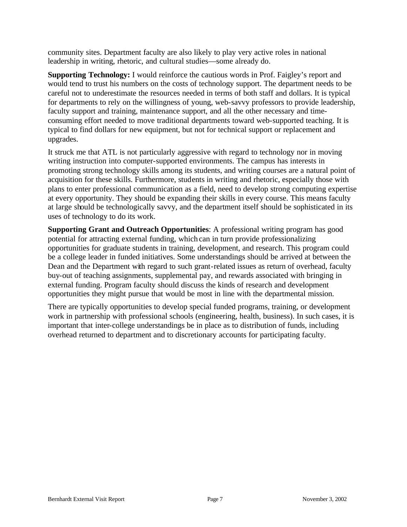community sites. Department faculty are also likely to play very active roles in national leadership in writing, rhetoric, and cultural studies—some already do.

**Supporting Technology:** I would reinforce the cautious words in Prof. Faigley's report and would tend to trust his numbers on the costs of technology support. The department needs to be careful not to underestimate the resources needed in terms of both staff and dollars. It is typical for departments to rely on the willingness of young, web-savvy professors to provide leadership, faculty support and training, maintenance support, and all the other necessary and timeconsuming effort needed to move traditional departments toward web-supported teaching. It is typical to find dollars for new equipment, but not for technical support or replacement and upgrades.

It struck me that ATL is not particularly aggressive with regard to technology nor in moving writing instruction into computer-supported environments. The campus has interests in promoting strong technology skills among its students, and writing courses are a natural point of acquisition for these skills. Furthermore, students in writing and rhetoric, especially those with plans to enter professional communication as a field, need to develop strong computing expertise at every opportunity. They should be expanding their skills in every course. This means faculty at large should be technologically savvy, and the department itself should be sophisticated in its uses of technology to do its work.

**Supporting Grant and Outreach Opportunities**: A professional writing program has good potential for attracting external funding, which can in turn provide professionalizing opportunities for graduate students in training, development, and research. This program could be a college leader in funded initiatives. Some understandings should be arrived at between the Dean and the Department with regard to such grant-related issues as return of overhead, faculty buy-out of teaching assignments, supplemental pay, and rewards associated with bringing in external funding. Program faculty should discuss the kinds of research and development opportunities they might pursue that would be most in line with the departmental mission.

There are typically opportunities to develop special funded programs, training, or development work in partnership with professional schools (engineering, health, business). In such cases, it is important that inter-college understandings be in place as to distribution of funds, including overhead returned to department and to discretionary accounts for participating faculty.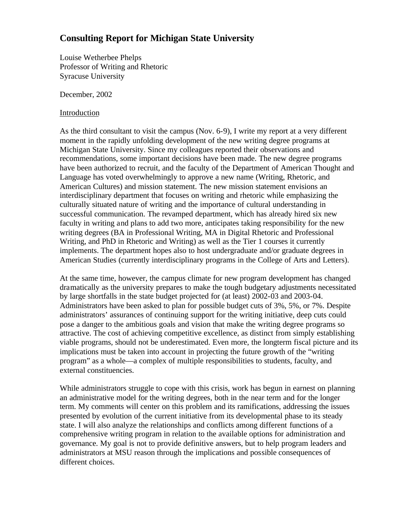# **Consulting Report for Michigan State University**

Louise Wetherbee Phelps Professor of Writing and Rhetoric Syracuse University

December, 2002

#### Introduction

As the third consultant to visit the campus (Nov. 6-9), I write my report at a very different moment in the rapidly unfolding development of the new writing degree programs at Michigan State University. Since my colleagues reported their observations and recommendations, some important decisions have been made. The new degree programs have been authorized to recruit, and the faculty of the Department of American Thought and Language has voted overwhelmingly to approve a new name (Writing, Rhetoric, and American Cultures) and mission statement. The new mission statement envisions an interdisciplinary department that focuses on writing and rhetoric while emphasizing the culturally situated nature of writing and the importance of cultural understanding in successful communication. The revamped department, which has already hired six new faculty in writing and plans to add two more, anticipates taking responsibility for the new writing degrees (BA in Professional Writing, MA in Digital Rhetoric and Professional Writing, and PhD in Rhetoric and Writing) as well as the Tier 1 courses it currently implements. The department hopes also to host undergraduate and/or graduate degrees in American Studies (currently interdisciplinary programs in the College of Arts and Letters).

At the same time, however, the campus climate for new program development has changed dramatically as the university prepares to make the tough budgetary adjustments necessitated by large shortfalls in the state budget projected for (at least) 2002-03 and 2003-04. Administrators have been asked to plan for possible budget cuts of 3%, 5%, or 7%. Despite administrators' assurances of continuing support for the writing initiative, deep cuts could pose a danger to the ambitious goals and vision that make the writing degree programs so attractive. The cost of achieving competitive excellence, as distinct from simply establishing viable programs, should not be underestimated. Even more, the longterm fiscal picture and its implications must be taken into account in projecting the future growth of the "writing program" as a whole—a complex of multiple responsibilities to students, faculty, and external constituencies.

While administrators struggle to cope with this crisis, work has begun in earnest on planning an administrative model for the writing degrees, both in the near term and for the longer term. My comments will center on this problem and its ramifications, addressing the issues presented by evolution of the current initiative from its developmental phase to its steady state. I will also analyze the relationships and conflicts among different functions of a comprehensive writing program in relation to the available options for administration and governance. My goal is not to provide definitive answers, but to help program leaders and administrators at MSU reason through the implications and possible consequences of different choices.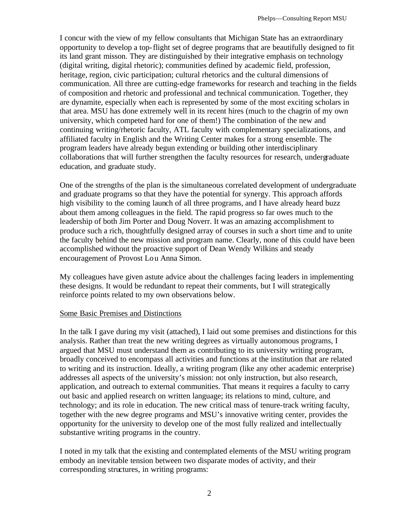I concur with the view of my fellow consultants that Michigan State has an extraordinary opportunity to develop a top-flight set of degree programs that are beautifully designed to fit its land grant misson. They are distinguished by their integrative emphasis on technology (digital writing, digital rhetoric); communities defined by academic field, profession, heritage, region, civic participation; cultural rhetorics and the cultural dimensions of communication. All three are cutting-edge frameworks for research and teaching in the fields of composition and rhetoric and professional and technical communication. Together, they are dynamite, especially when each is represented by some of the most exciting scholars in that area. MSU has done extremely well in its recent hires (much to the chagrin of my own university, which competed hard for one of them!) The combination of the new and continuing writing/rhetoric faculty, ATL faculty with complementary specializations, and affiliated faculty in English and the Writing Center makes for a strong ensemble. The program leaders have already begun extending or building other interdisciplinary collaborations that will further strengthen the faculty resources for research, undergraduate education, and graduate study.

One of the strengths of the plan is the simultaneous correlated development of undergraduate and graduate programs so that they have the potential for synergy. This approach affords high visibility to the coming launch of all three programs, and I have already heard buzz about them among colleagues in the field. The rapid progress so far owes much to the leadership of both Jim Porter and Doug Noverr. It was an amazing accomplishment to produce such a rich, thoughtfully designed array of courses in such a short time and to unite the faculty behind the new mission and program name. Clearly, none of this could have been accomplished without the proactive support of Dean Wendy Wilkins and steady encouragement of Provost Lou Anna Simon.

My colleagues have given astute advice about the challenges facing leaders in implementing these designs. It would be redundant to repeat their comments, but I will strategically reinforce points related to my own observations below.

#### Some Basic Premises and Distinctions

In the talk I gave during my visit (attached), I laid out some premises and distinctions for this analysis. Rather than treat the new writing degrees as virtually autonomous programs, I argued that MSU must understand them as contributing to its university writing program, broadly conceived to encompass all activities and functions at the institution that are related to writing and its instruction. Ideally, a writing program (like any other academic enterprise) addresses all aspects of the university's mission: not only instruction, but also research, application, and outreach to external communities. That means it requires a faculty to carry out basic and applied research on written language; its relations to mind, culture, and technology; and its role in education. The new critical mass of tenure-track writing faculty, together with the new degree programs and MSU's innovative writing center, provides the opportunity for the university to develop one of the most fully realized and intellectually substantive writing programs in the country.

I noted in my talk that the existing and contemplated elements of the MSU writing program embody an inevitable tension between two disparate modes of activity, and their corresponding structures, in writing programs: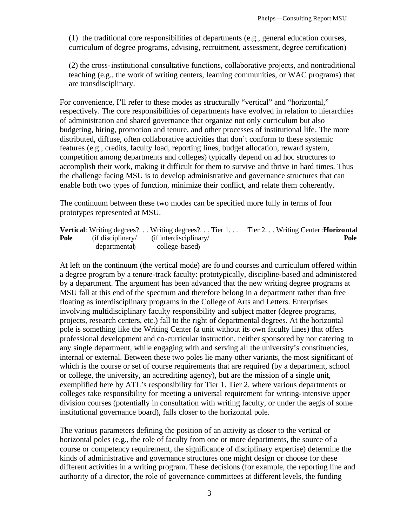(1) the traditional core responsibilities of departments (e.g., general education courses, curriculum of degree programs, advising, recruitment, assessment, degree certification)

(2) the cross-institutional consultative functions, collaborative projects, and nontraditional teaching (e.g., the work of writing centers, learning communities, or WAC programs) that are transdisciplinary.

For convenience, I'll refer to these modes as structurally "vertical" and "horizontal," respectively. The core responsibilities of departments have evolved in relation to hierarchies of administration and shared governance that organize not only curriculum but also budgeting, hiring, promotion and tenure, and other processes of institutional life. The more distributed, diffuse, often collaborative activities that don't conform to these systemic features (e.g., credits, faculty load, reporting lines, budget allocation, reward system, competition among departments and colleges) typically depend on ad hoc structures to accomplish their work, making it difficult for them to survive and thrive in hard times. Thus the challenge facing MSU is to develop administrative and governance structures that can enable both two types of function, minimize their conflict, and relate them coherently.

The continuum between these two modes can be specified more fully in terms of four prototypes represented at MSU.

|      |                            |                                                                            | <b>Vertical:</b> Writing degrees? Writing degrees? Tier 1 Tier 2 Writing Center : <b>Horizontal</b> |
|------|----------------------------|----------------------------------------------------------------------------|-----------------------------------------------------------------------------------------------------|
| Pole |                            | $(i\text{f} \text{ disciplinary}/$ $(i\text{f} \text{ interdisciplinary}/$ | Pole                                                                                                |
|      | departmental college-based |                                                                            |                                                                                                     |

At left on the continuum (the vertical mode) are found courses and curriculum offered within a degree program by a tenure-track faculty: prototypically, discipline-based and administered by a department. The argument has been advanced that the new writing degree programs at MSU fall at this end of the spectrum and therefore belong in a department rather than free floating as interdisciplinary programs in the College of Arts and Letters. Enterprises involving multidisciplinary faculty responsibility and subject matter (degree programs, projects, research centers, etc.) fall to the right of departmental degrees. At the horizontal pole is something like the Writing Center (a unit without its own faculty lines) that offers professional development and co-curricular instruction, neither sponsored by nor catering to any single department, while engaging with and serving all the university's constituencies, internal or external. Between these two poles lie many other variants, the most significant of which is the course or set of course requirements that are required (by a department, school or college, the university, an accrediting agency), but are the mission of a single unit, exemplified here by ATL's responsibility for Tier 1. Tier 2, where various departments or colleges take responsibility for meeting a universal requirement for writing-intensive upper division courses (potentially in consultation with writing faculty, or under the aegis of some institutional governance board), falls closer to the horizontal pole.

The various parameters defining the position of an activity as closer to the vertical or horizontal poles (e.g., the role of faculty from one or more departments, the source of a course or competency requirement, the significance of disciplinary expertise) determine the kinds of administrative and governance structures one might design or choose for these different activities in a writing program. These decisions (for example, the reporting line and authority of a director, the role of governance committees at different levels, the funding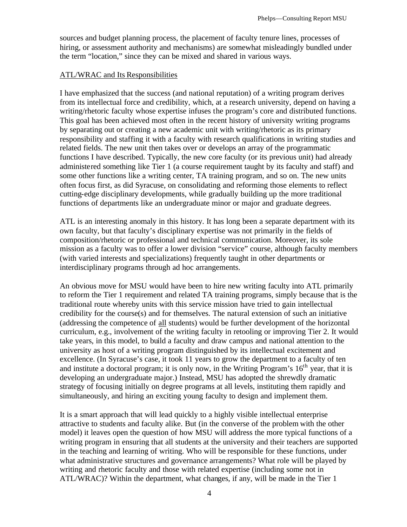sources and budget planning process, the placement of faculty tenure lines, processes of hiring, or assessment authority and mechanisms) are somewhat misleadingly bundled under the term "location," since they can be mixed and shared in various ways.

#### ATL/WRAC and Its Responsibilities

I have emphasized that the success (and national reputation) of a writing program derives from its intellectual force and credibility, which, at a research university, depend on having a writing/rhetoric faculty whose expertise infuses the program's core and distributed functions. This goal has been achieved most often in the recent history of university writing programs by separating out or creating a new academic unit with writing/rhetoric as its primary responsibility and staffing it with a faculty with research qualifications in writing studies and related fields. The new unit then takes over or develops an array of the programmatic functions I have described. Typically, the new core faculty (or its previous unit) had already administered something like Tier 1 (a course requirement taught by its faculty and staff) and some other functions like a writing center, TA training program, and so on. The new units often focus first, as did Syracuse, on consolidating and reforming those elements to reflect cutting-edge disciplinary developments, while gradually building up the more traditional functions of departments like an undergraduate minor or major and graduate degrees.

ATL is an interesting anomaly in this history. It has long been a separate department with its own faculty, but that faculty's disciplinary expertise was not primarily in the fields of composition/rhetoric or professional and technical communication. Moreover, its sole mission as a faculty was to offer a lower division "service" course, although faculty members (with varied interests and specializations) frequently taught in other departments or interdisciplinary programs through ad hoc arrangements.

An obvious move for MSU would have been to hire new writing faculty into ATL primarily to reform the Tier 1 requirement and related TA training programs, simply because that is the traditional route whereby units with this service mission have tried to gain intellectual credibility for the course(s) and for themselves. The natural extension of such an initiative (addressing the competence of all students) would be further development of the horizontal curriculum, e.g., involvement of the writing faculty in retooling or improving Tier 2. It would take years, in this model, to build a faculty and draw campus and national attention to the university as host of a writing program distinguished by its intellectual excitement and excellence. (In Syracuse's case, it took 11 years to grow the department to a faculty of ten and institute a doctoral program; it is only now, in the Writing Program's  $16<sup>th</sup>$  year, that it is developing an undergraduate major.) Instead, MSU has adopted the shrewdly dramatic strategy of focusing initially on degree programs at all levels, instituting them rapidly and simultaneously, and hiring an exciting young faculty to design and implement them.

It is a smart approach that will lead quickly to a highly visible intellectual enterprise attractive to students and faculty alike. But (in the converse of the problem with the other model) it leaves open the question of how MSU will address the more typical functions of a writing program in ensuring that all students at the university and their teachers are supported in the teaching and learning of writing. Who will be responsible for these functions, under what administrative structures and governance arrangements? What role will be played by writing and rhetoric faculty and those with related expertise (including some not in ATL/WRAC)? Within the department, what changes, if any, will be made in the Tier 1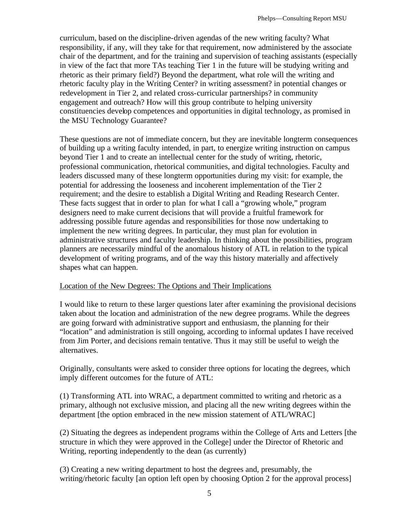curriculum, based on the discipline-driven agendas of the new writing faculty? What responsibility, if any, will they take for that requirement, now administered by the associate chair of the department, and for the training and supervision of teaching assistants (especially in view of the fact that more TAs teaching Tier 1 in the future will be studying writing and rhetoric as their primary field?) Beyond the department, what role will the writing and rhetoric faculty play in the Writing Center? in writing assessment? in potential changes or redevelopment in Tier 2, and related cross-curricular partnerships? in community engagement and outreach? How will this group contribute to helping university constituencies develop competences and opportunities in digital technology, as promised in the MSU Technology Guarantee?

These questions are not of immediate concern, but they are inevitable longterm consequences of building up a writing faculty intended, in part, to energize writing instruction on campus beyond Tier 1 and to create an intellectual center for the study of writing, rhetoric, professional communication, rhetorical communities, and digital technologies. Faculty and leaders discussed many of these longterm opportunities during my visit: for example, the potential for addressing the looseness and incoherent implementation of the Tier 2 requirement; and the desire to establish a Digital Writing and Reading Research Center. These facts suggest that in order to plan for what I call a "growing whole," program designers need to make current decisions that will provide a fruitful framework for addressing possible future agendas and responsibilities for those now undertaking to implement the new writing degrees. In particular, they must plan for evolution in administrative structures and faculty leadership. In thinking about the possibilities, program planners are necessarily mindful of the anomalous history of ATL in relation to the typical development of writing programs, and of the way this history materially and affectively shapes what can happen.

#### Location of the New Degrees: The Options and Their Implications

I would like to return to these larger questions later after examining the provisional decisions taken about the location and administration of the new degree programs. While the degrees are going forward with administrative support and enthusiasm, the planning for their "location" and administration is still ongoing, according to informal updates I have received from Jim Porter, and decisions remain tentative. Thus it may still be useful to weigh the alternatives.

Originally, consultants were asked to consider three options for locating the degrees, which imply different outcomes for the future of ATL:

(1) Transforming ATL into WRAC, a department committed to writing and rhetoric as a primary, although not exclusive mission, and placing all the new writing degrees within the department [the option embraced in the new mission statement of ATL/WRAC]

(2) Situating the degrees as independent programs within the College of Arts and Letters [the structure in which they were approved in the College] under the Director of Rhetoric and Writing, reporting independently to the dean (as currently)

(3) Creating a new writing department to host the degrees and, presumably, the writing/rhetoric faculty [an option left open by choosing Option 2 for the approval process]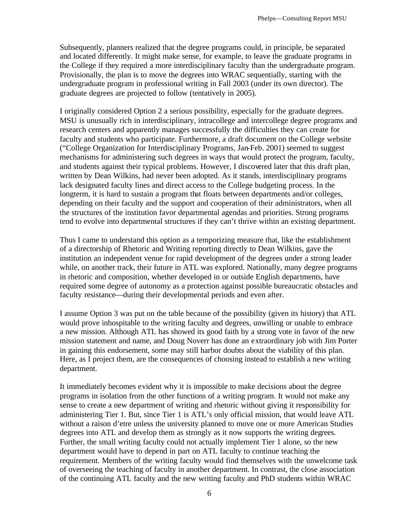Subsequently, planners realized that the degree programs could, in principle, be separated and located differently. It might make sense, for example, to leave the graduate programs in the College if they required a more interdisciplinary faculty than the undergraduate program. Provisionally, the plan is to move the degrees into WRAC sequentially, starting with the undergraduate program in professional writing in Fall 2003 (under its own director). The graduate degrees are projected to follow (tentatively in 2005).

I originally considered Option 2 a serious possibility, especially for the graduate degrees. MSU is unusually rich in interdisciplinary, intracollege and intercollege degree programs and research centers and apparently manages successfully the difficulties they can create for faculty and students who participate. Furthermore, a draft document on the College website ("College Organization for Interdisciplinary Programs, Jan-Feb. 2001) seemed to suggest mechanisms for administering such degrees in ways that would protect the program, faculty, and students against their typical problems. However, I discovered later that this draft plan, written by Dean Wilkins, had never been adopted. As it stands, interdisciplinary programs lack designated faculty lines and direct access to the College budgeting process. In the longterm, it is hard to sustain a program that floats between departments and/or colleges, depending on their faculty and the support and cooperation of their administrators, when all the structures of the institution favor departmental agendas and priorities. Strong programs tend to evolve into departmental structures if they can't thrive within an existing department.

Thus I came to understand this option as a temporizing measure that, like the establishment of a directorship of Rhetoric and Writing reporting directly to Dean Wilkins, gave the institution an independent venue for rapid development of the degrees under a strong leader while, on another track, their future in ATL was explored. Nationally, many degree programs in rhetoric and composition, whether developed in or outside English departments, have required some degree of autonomy as a protection against possible bureaucratic obstacles and faculty resistance—during their developmental periods and even after.

I assume Option 3 was put on the table because of the possibility (given its history) that ATL would prove inhospitable to the writing faculty and degrees, unwilling or unable to embrace a new mission. Although ATL has showed its good faith by a strong vote in favor of the new mission statement and name, and Doug Noverr has done an extraordinary job with Jim Porter in gaining this endorsement, some may still harbor doubts about the viability of this plan. Here, as I project them, are the consequences of choosing instead to establish a new writing department.

It immediately becomes evident why it is impossible to make decisions about the degree programs in isolation from the other functions of a writing program. It would not make any sense to create a new department of writing and rhetoric without giving it responsibility for administering Tier 1. But, since Tier 1 is ATL's only official mission, that would leave ATL without a raison d'etre unless the university planned to move one or more American Studies degrees into ATL and develop them as strongly as it now supports the writing degrees. Further, the small writing faculty could not actually implement Tier 1 alone, so the new department would have to depend in part on ATL faculty to continue teaching the requirement. Members of the writing faculty would find themselves with the unwelcome task of overseeing the teaching of faculty in another department. In contrast, the close association of the continuing ATL faculty and the new writing faculty and PhD students within WRAC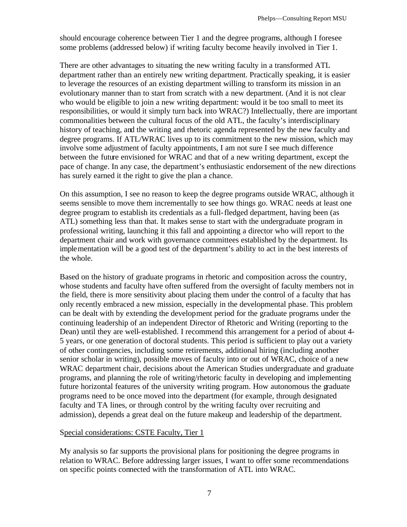should encourage coherence between Tier 1 and the degree programs, although I foresee some problems (addressed below) if writing faculty become heavily involved in Tier 1.

There are other advantages to situating the new writing faculty in a transformed ATL department rather than an entirely new writing department. Practically speaking, it is easier to leverage the resources of an existing department willing to transform its mission in an evolutionary manner than to start from scratch with a new department. (And it is not clear who would be eligible to join a new writing department: would it be too small to meet its responsibilities, or would it simply turn back into WRAC?) Intellectually, there are important commonalities between the cultural focus of the old ATL, the faculty's interdisciplinary history of teaching, and the writing and rhetoric agenda represented by the new faculty and degree programs. If ATL/WRAC lives up to its commitment to the new mission, which may involve some adjustment of faculty appointments, I am not sure I see much difference between the future envisioned for WRAC and that of a new writing department, except the pace of change. In any case, the department's enthusiastic endorsement of the new directions has surely earned it the right to give the plan a chance.

On this assumption, I see no reason to keep the degree programs outside WRAC, although it seems sensible to move them incrementally to see how things go. WRAC needs at least one degree program to establish its credentials as a full-fledged department, having been (as ATL) something less than that. It makes sense to start with the undergraduate program in professional writing, launching it this fall and appointing a director who will report to the department chair and work with governance committees established by the department. Its implementation will be a good test of the department's ability to act in the best interests of the whole.

Based on the history of graduate programs in rhetoric and composition across the country, whose students and faculty have often suffered from the oversight of faculty members not in the field, there is more sensitivity about placing them under the control of a faculty that has only recently embraced a new mission, especially in the developmental phase. This problem can be dealt with by extending the development period for the graduate programs under the continuing leadership of an independent Director of Rhetoric and Writing (reporting to the Dean) until they are well-established. I recommend this arrangement for a period of about 4- 5 years, or one generation of doctoral students. This period is sufficient to play out a variety of other contingencies, including some retirements, additional hiring (including another senior scholar in writing), possible moves of faculty into or out of WRAC, choice of a new WRAC department chair, decisions about the American Studies undergraduate and graduate programs, and planning the role of writing/rhetoric faculty in developing and implementing future horizontal features of the university writing program. How autonomous the graduate programs need to be once moved into the department (for example, through designated faculty and TA lines, or through control by the writing faculty over recruiting and admission), depends a great deal on the future makeup and leadership of the department.

#### Special considerations: CSTE Faculty, Tier 1

My analysis so far supports the provisional plans for positioning the degree programs in relation to WRAC. Before addressing larger issues, I want to offer some recommendations on specific points connected with the transformation of ATL into WRAC.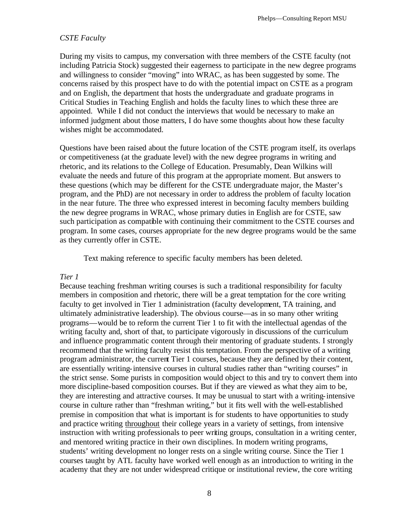#### *CSTE Faculty*

During my visits to campus, my conversation with three members of the CSTE faculty (not including Patricia Stock) suggested their eagerness to participate in the new degree programs and willingness to consider "moving" into WRAC, as has been suggested by some. The concerns raised by this prospect have to do with the potential impact on CSTE as a program and on English, the department that hosts the undergraduate and graduate programs in Critical Studies in Teaching English and holds the faculty lines to which these three are appointed. While I did not conduct the interviews that would be necessary to make an informed judgment about those matters, I do have some thoughts about how these faculty wishes might be accommodated.

Questions have been raised about the future location of the CSTE program itself, its overlaps or competitiveness (at the graduate level) with the new degree programs in writing and rhetoric, and its relations to the College of Education. Presumably, Dean Wilkins will evaluate the needs and future of this program at the appropriate moment. But answers to these questions (which may be different for the CSTE undergraduate major, the Master's program, and the PhD) are not necessary in order to address the problem of faculty location in the near future. The three who expressed interest in becoming faculty members building the new degree programs in WRAC, whose primary duties in English are for CSTE, saw such participation as compatible with continuing their commitment to the CSTE courses and program. In some cases, courses appropriate for the new degree programs would be the same as they currently offer in CSTE.

Text making reference to specific faculty members has been deleted.

#### *Tier 1*

Because teaching freshman writing courses is such a traditional responsibility for faculty members in composition and rhetoric, there will be a great temptation for the core writing faculty to get involved in Tier 1 administration (faculty development, TA training, and ultimately administrative leadership). The obvious course—as in so many other writing programs—would be to reform the current Tier 1 to fit with the intellectual agendas of the writing faculty and, short of that, to participate vigorously in discussions of the curriculum and influence programmatic content through their mentoring of graduate students. I strongly recommend that the writing faculty resist this temptation. From the perspective of a writing program administrator, the current Tier 1 courses, because they are defined by their content, are essentially writing-intensive courses in cultural studies rather than "writing courses" in the strict sense. Some purists in composition would object to this and try to convert them into more discipline-based composition courses. But if they are viewed as what they aim to be, they are interesting and attractive courses. It may be unusual to start with a writing-intensive course in culture rather than "freshman writing," but it fits well with the well-established premise in composition that what is important is for students to have opportunities to study and practice writing throughout their college years in a variety of settings, from intensive instruction with writing professionals to peer writing groups, consultation in a writing center, and mentored writing practice in their own disciplines. In modern writing programs, students' writing development no longer rests on a single writing course. Since the Tier 1 courses taught by ATL faculty have worked well enough as an introduction to writing in the academy that they are not under widespread critique or institutional review, the core writing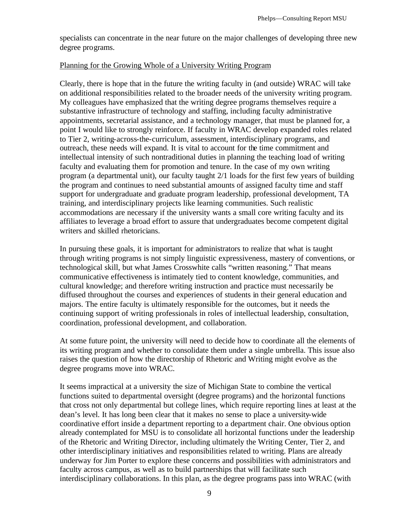specialists can concentrate in the near future on the major challenges of developing three new degree programs.

#### Planning for the Growing Whole of a University Writing Program

Clearly, there is hope that in the future the writing faculty in (and outside) WRAC will take on additional responsibilities related to the broader needs of the university writing program. My colleagues have emphasized that the writing degree programs themselves require a substantive infrastructure of technology and staffing, including faculty administrative appointments, secretarial assistance, and a technology manager, that must be planned for, a point I would like to strongly reinforce. If faculty in WRAC develop expanded roles related to Tier 2, writing-across-the-curriculum, assessment, interdisciplinary programs, and outreach, these needs will expand. It is vital to account for the time commitment and intellectual intensity of such nontraditional duties in planning the teaching load of writing faculty and evaluating them for promotion and tenure. In the case of my own writing program (a departmental unit), our faculty taught 2/1 loads for the first few years of building the program and continues to need substantial amounts of assigned faculty time and staff support for undergraduate and graduate program leadership, professional development, TA training, and interdisciplinary projects like learning communities. Such realistic accommodations are necessary if the university wants a small core writing faculty and its affiliates to leverage a broad effort to assure that undergraduates become competent digital writers and skilled rhetoricians.

In pursuing these goals, it is important for administrators to realize that what is taught through writing programs is not simply linguistic expressiveness, mastery of conventions, or technological skill, but what James Crosswhite calls "written reasoning." That means communicative effectiveness is intimately tied to content knowledge, communities, and cultural knowledge; and therefore writing instruction and practice must necessarily be diffused throughout the courses and experiences of students in their general education and majors. The entire faculty is ultimately responsible for the outcomes, but it needs the continuing support of writing professionals in roles of intellectual leadership, consultation, coordination, professional development, and collaboration.

At some future point, the university will need to decide how to coordinate all the elements of its writing program and whether to consolidate them under a single umbrella. This issue also raises the question of how the directorship of Rhetoric and Writing might evolve as the degree programs move into WRAC.

It seems impractical at a university the size of Michigan State to combine the vertical functions suited to departmental oversight (degree programs) and the horizontal functions that cross not only departmental but college lines, which require reporting lines at least at the dean's level. It has long been clear that it makes no sense to place a university-wide coordinative effort inside a department reporting to a department chair. One obvious option already contemplated for MSU is to consolidate all horizontal functions under the leadership of the Rhetoric and Writing Director, including ultimately the Writing Center, Tier 2, and other interdisciplinary initiatives and responsibilities related to writing. Plans are already underway for Jim Porter to explore these concerns and possibilities with administrators and faculty across campus, as well as to build partnerships that will facilitate such interdisciplinary collaborations. In this plan, as the degree programs pass into WRAC (with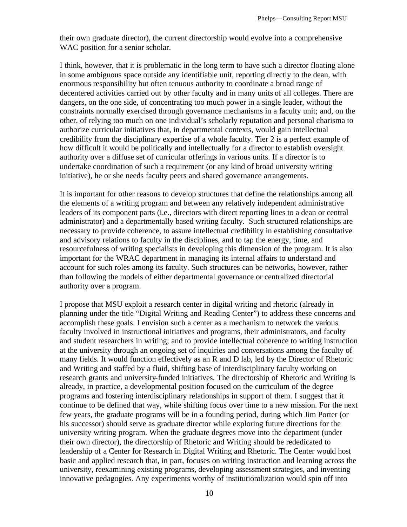their own graduate director), the current directorship would evolve into a comprehensive WAC position for a senior scholar.

I think, however, that it is problematic in the long term to have such a director floating alone in some ambiguous space outside any identifiable unit, reporting directly to the dean, with enormous responsibility but often tenuous authority to coordinate a broad range of decentered activities carried out by other faculty and in many units of all colleges. There are dangers, on the one side, of concentrating too much power in a single leader, without the constraints normally exercised through governance mechanisms in a faculty unit; and, on the other, of relying too much on one individual's scholarly reputation and personal charisma to authorize curricular initiatives that, in departmental contexts, would gain intellectual credibility from the disciplinary expertise of a whole faculty. Tier 2 is a perfect example of how difficult it would be politically and intellectually for a director to establish oversight authority over a diffuse set of curricular offerings in various units. If a director is to undertake coordination of such a requirement (or any kind of broad university writing initiative), he or she needs faculty peers and shared governance arrangements.

It is important for other reasons to develop structures that define the relationships among all the elements of a writing program and between any relatively independent administrative leaders of its component parts (i.e., directors with direct reporting lines to a dean or central administrator) and a departmentally based writing faculty. Such structured relationships are necessary to provide coherence, to assure intellectual credibility in establishing consultative and advisory relations to faculty in the disciplines, and to tap the energy, time, and resourcefulness of writing specialists in developing this dimension of the program. It is also important for the WRAC department in managing its internal affairs to understand and account for such roles among its faculty. Such structures can be networks, however, rather than following the models of either departmental governance or centralized directorial authority over a program.

I propose that MSU exploit a research center in digital writing and rhetoric (already in planning under the title "Digital Writing and Reading Center") to address these concerns and accomplish these goals. I envision such a center as a mechanism to network the various faculty involved in instructional initiatives and programs, their administrators, and faculty and student researchers in writing; and to provide intellectual coherence to writing instruction at the university through an ongoing set of inquiries and conversations among the faculty of many fields. It would function effectively as an R and D lab, led by the Director of Rhetoric and Writing and staffed by a fluid, shifting base of interdisciplinary faculty working on research grants and university-funded initiatives. The directorship of Rhetoric and Writing is already, in practice, a developmental position focused on the curriculum of the degree programs and fostering interdisciplinary relationships in support of them. I suggest that it continue to be defined that way, while shifting focus over time to a new mission. For the next few years, the graduate programs will be in a founding period, during which Jim Porter (or his successor) should serve as graduate director while exploring future directions for the university writing program. When the graduate degrees move into the department (under their own director), the directorship of Rhetoric and Writing should be rededicated to leadership of a Center for Research in Digital Writing and Rhetoric. The Center would host basic and applied research that, in part, focuses on writing instruction and learning across the university, reexamining existing programs, developing assessment strategies, and inventing innovative pedagogies. Any experiments worthy of institutionalization would spin off into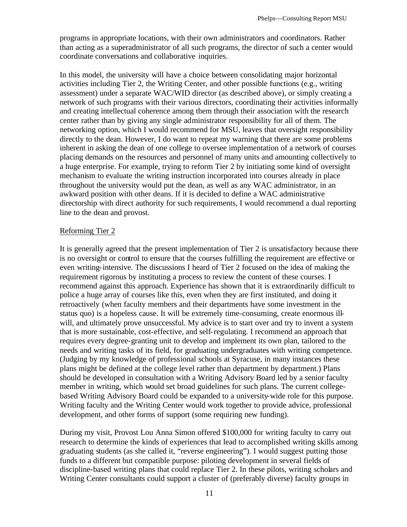programs in appropriate locations, with their own administrators and coordinators. Rather than acting as a superadministrator of all such programs, the director of such a center would coordinate conversations and collaborative inquiries.

In this model, the university will have a choice between consolidating major horizontal activities including Tier 2, the Writing Center, and other possible functions (e.g., writing assessment) under a separate WAC/WID director (as described above), or simply creating a network of such programs with their various directors, coordinating their activities informally and creating intellectual coherence among them through their association with the research center rather than by giving any single administrator responsibility for all of them. The networking option, which I would recommend for MSU, leaves that oversight responsibility directly to the dean. However, I do want to repeat my warning that there are some problems inherent in asking the dean of one college to oversee implementation of a network of courses placing demands on the resources and personnel of many units and amounting collectively to a huge enterprise. For example, trying to reform Tier 2 by initiating some kind of oversight mechanism to evaluate the writing instruction incorporated into courses already in place throughout the university would put the dean, as well as any WAC administrator, in an awkward position with other deans. If it is decided to define a WAC administrative directorship with direct authority for such requirements, I would recommend a dual reporting line to the dean and provost.

#### Reforming Tier 2

It is generally agreed that the present implementation of Tier 2 is unsatisfactory because there is no oversight or control to ensure that the courses fulfilling the requirement are effective or even writing-intensive. The discussions I heard of Tier 2 focused on the idea of making the requirement rigorous by instituting a process to review the content of these courses. I recommend against this approach. Experience has shown that it is extraordinarily difficult to police a huge array of courses like this, even when they are first instituted, and doing it retroactively (when faculty members and their departments have some investment in the status quo) is a hopeless cause. It will be extremely time-consuming, create enormous illwill, and ultimately prove unsuccessful. My advice is to start over and try to invent a system that is more sustainable, cost-effective, and self-regulating. I recommend an approach that requires every degree-granting unit to develop and implement its own plan, tailored to the needs and writing tasks of its field, for graduating undergraduates with writing competence. (Judging by my knowledge of professional schools at Syracuse, in many instances these plans might be defined at the college level rather than department by department.) Plans should be developed in consultation with a Writing Advisory Board led by a senior faculty member in writing, which would set broad guidelines for such plans. The current collegebased Writing Advisory Board could be expanded to a university-wide role for this purpose. Writing faculty and the Writing Center would work together to provide advice, professional development, and other forms of support (some requiring new funding).

During my visit, Provost Lou Anna Simon offered \$100,000 for writing faculty to carry out research to determine the kinds of experiences that lead to accomplished writing skills among graduating students (as she called it, "reverse engineering"). I would suggest putting those funds to a different but compatible purpose: piloting development in several fields of discipline-based writing plans that could replace Tier 2. In these pilots, writing scholars and Writing Center consultants could support a cluster of (preferably diverse) faculty groups in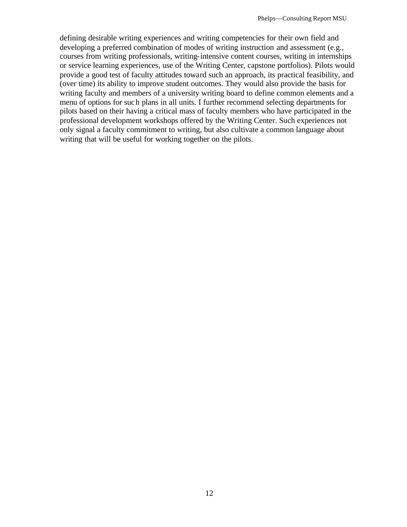defining desirable writing experiences and writing competencies for their own field and developing a preferred combination of modes of writing instruction and assessment (e.g., courses from writing professionals, writing-intensive content courses, writing in internships or service learning experiences, use of the Writing Center, capstone portfolios). Pilots would provide a good test of faculty attitudes toward such an approach, its practical feasibility, and (over time) its ability to improve student outcomes. They would also provide the basis for writing faculty and members of a university writing board to define common elements and a menu of options for such plans in all units. I further recommend selecting departments for pilots based on their having a critical mass of faculty members who have participated in the professional development workshops offered by the Writing Center. Such experiences not only signal a faculty commitment to writing, but also cultivate a common language about writing that will be useful for working together on the pilots.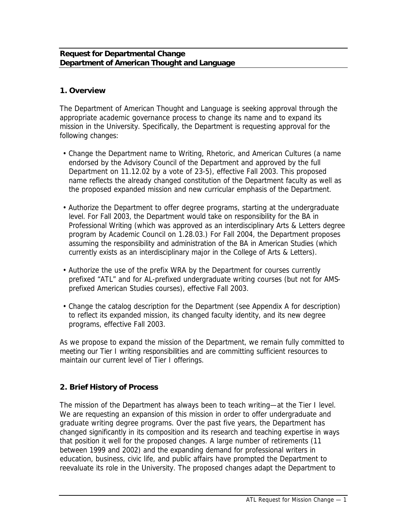#### **Request for Departmental Change Department of American Thought and Language**

### **1. Overview**

The Department of American Thought and Language is seeking approval through the appropriate academic governance process to change its name and to expand its mission in the University. Specifically, the Department is requesting approval for the following changes:

- Change the Department name to Writing, Rhetoric, and American Cultures (a name endorsed by the Advisory Council of the Department and approved by the full Department on 11.12.02 by a vote of 23-5), effective Fall 2003. This proposed name reflects the already changed constitution of the Department faculty as well as the proposed expanded mission and new curricular emphasis of the Department.
- Authorize the Department to offer degree programs, starting at the undergraduate level. For Fall 2003, the Department would take on responsibility for the BA in Professional Writing (which was approved as an interdisciplinary Arts & Letters degree program by Academic Council on 1.28.03.) For Fall 2004, the Department proposes assuming the responsibility and administration of the BA in American Studies (which currently exists as an interdisciplinary major in the College of Arts & Letters).
- Authorize the use of the prefix WRA by the Department for courses currently prefixed "ATL" and for AL-prefixed undergraduate writing courses (but not for AMSprefixed American Studies courses), effective Fall 2003.
- Change the catalog description for the Department (see Appendix A for description) to reflect its expanded mission, its changed faculty identity, and its new degree programs, effective Fall 2003.

As we propose to expand the mission of the Department, we remain fully committed to meeting our Tier I writing responsibilities and are committing sufficient resources to maintain our current level of Tier I offerings.

## **2. Brief History of Process**

The mission of the Department has always been to teach writing—at the Tier I level. We are requesting an expansion of this mission in order to offer undergraduate and graduate writing degree programs. Over the past five years, the Department has changed significantly in its composition and its research and teaching expertise in ways that position it well for the proposed changes. A large number of retirements (11 between 1999 and 2002) and the expanding demand for professional writers in education, business, civic life, and public affairs have prompted the Department to reevaluate its role in the University. The proposed changes adapt the Department to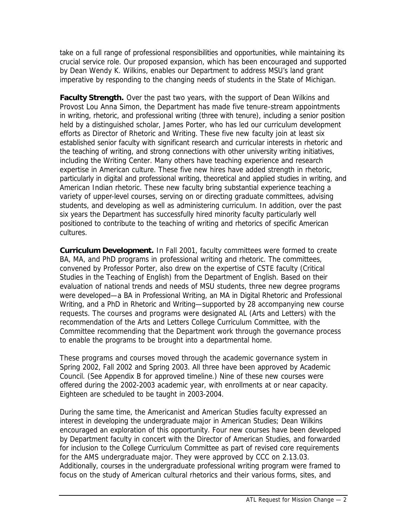take on a full range of professional responsibilities and opportunities, while maintaining its crucial service role. Our proposed expansion, which has been encouraged and supported by Dean Wendy K. Wilkins, enables our Department to address MSU's land grant imperative by responding to the changing needs of students in the State of Michigan.

**Faculty Strength.** Over the past two years, with the support of Dean Wilkins and Provost Lou Anna Simon, the Department has made five tenure-stream appointments in writing, rhetoric, and professional writing (three with tenure), including a senior position held by a distinguished scholar, James Porter, who has led our curriculum development efforts as Director of Rhetoric and Writing. These five new faculty join at least six established senior faculty with significant research and curricular interests in rhetoric and the teaching of writing, and strong connections with other university writing initiatives, including the Writing Center. Many others have teaching experience and research expertise in American culture. These five new hires have added strength in rhetoric, particularly in digital and professional writing, theoretical and applied studies in writing, and American Indian rhetoric. These new faculty bring substantial experience teaching a variety of upper-level courses, serving on or directing graduate committees, advising students, and developing as well as administering curriculum. In addition, over the past six years the Department has successfully hired minority faculty particularly well positioned to contribute to the teaching of writing and rhetorics of specific American cultures.

**Curriculum Development.** In Fall 2001, faculty committees were formed to create BA, MA, and PhD programs in professional writing and rhetoric. The committees, convened by Professor Porter, also drew on the expertise of CSTE faculty (Critical Studies in the Teaching of English) from the Department of English. Based on their evaluation of national trends and needs of MSU students, three new degree programs were developed—a BA in Professional Writing, an MA in Digital Rhetoric and Professional Writing, and a PhD in Rhetoric and Writing—supported by 28 accompanying new course requests. The courses and programs were designated AL (Arts and Letters) with the recommendation of the Arts and Letters College Curriculum Committee, with the Committee recommending that the Department work through the governance process to enable the programs to be brought into a departmental home.

These programs and courses moved through the academic governance system in Spring 2002, Fall 2002 and Spring 2003. All three have been approved by Academic Council. (See Appendix B for approved timeline.) Nine of these new courses were offered during the 2002-2003 academic year, with enrollments at or near capacity. Eighteen are scheduled to be taught in 2003-2004.

During the same time, the Americanist and American Studies faculty expressed an interest in developing the undergraduate major in American Studies; Dean Wilkins encouraged an exploration of this opportunity. Four new courses have been developed by Department faculty in concert with the Director of American Studies, and forwarded for inclusion to the College Curriculum Committee as part of revised core requirements for the AMS undergraduate major. They were approved by CCC on 2.13.03. Additionally, courses in the undergraduate professional writing program were framed to focus on the study of American cultural rhetorics and their various forms, sites, and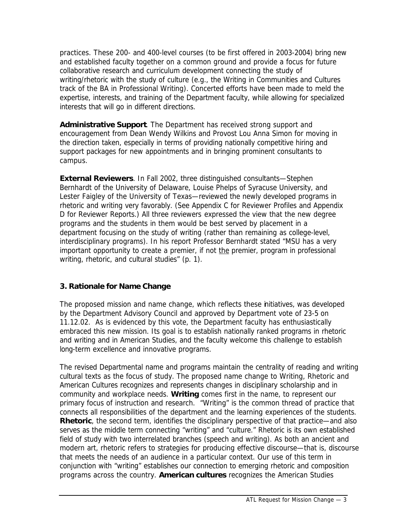practices. These 200- and 400-level courses (to be first offered in 2003-2004) bring new and established faculty together on a common ground and provide a focus for future collaborative research and curriculum development connecting the study of writing/rhetoric with the study of culture (e.g., the Writing in Communities and Cultures track of the BA in Professional Writing). Concerted efforts have been made to meld the expertise, interests, and training of the Department faculty, while allowing for specialized interests that will go in different directions.

**Administrative Support**. The Department has received strong support and encouragement from Dean Wendy Wilkins and Provost Lou Anna Simon for moving in the direction taken, especially in terms of providing nationally competitive hiring and support packages for new appointments and in bringing prominent consultants to campus.

**External Reviewers**. In Fall 2002, three distinguished consultants—Stephen Bernhardt of the University of Delaware, Louise Phelps of Syracuse University, and Lester Faigley of the University of Texas—reviewed the newly developed programs in rhetoric and writing very favorably. (See Appendix C for Reviewer Profiles and Appendix D for Reviewer Reports.) All three reviewers expressed the view that the new degree programs and the students in them would be best served by placement in a department focusing on the study of writing (rather than remaining as college-level, interdisciplinary programs). In his report Professor Bernhardt stated "MSU has a very important opportunity to create a premier, if not the premier, program in professional writing, rhetoric, and cultural studies" (p. 1).

#### **3. Rationale for Name Change**

The proposed mission and name change, which reflects these initiatives, was developed by the Department Advisory Council and approved by Department vote of 23-5 on 11.12.02. As is evidenced by this vote, the Department faculty has enthusiastically embraced this new mission. Its goal is to establish nationally ranked programs in rhetoric and writing and in American Studies, and the faculty welcome this challenge to establish long-term excellence and innovative programs.

The revised Departmental name and programs maintain the centrality of reading and writing cultural texts as the focus of study. The proposed name change to Writing, Rhetoric and American Cultures recognizes and represents changes in disciplinary scholarship and in community and workplace needs. **Writing** comes first in the name, to represent our primary focus of instruction and research. "Writing" is the common thread of practice that connects all responsibilities of the department and the learning experiences of the students. **Rhetoric**, the second term, identifies the disciplinary perspective of that practice—and also serves as the middle term connecting "writing" and "culture." Rhetoric is its own established field of study with two interrelated branches (speech and writing). As both an ancient and modern art, rhetoric refers to strategies for producing effective discourse—that is, discourse that meets the needs of an audience in a particular context. Our use of this term in conjunction with "writing" establishes our connection to emerging rhetoric and composition programs across the country. **American cultures** recognizes the American Studies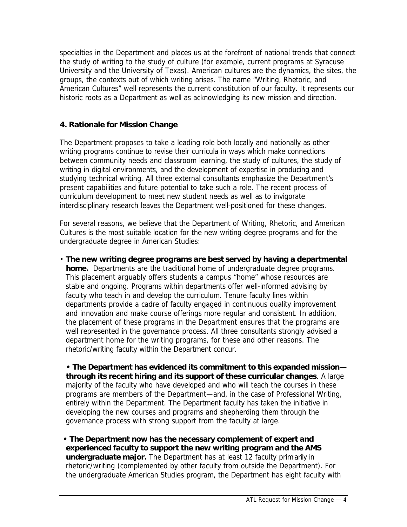specialties in the Department and places us at the forefront of national trends that connect the study of writing to the study of culture (for example, current programs at Syracuse University and the University of Texas). American cultures are the dynamics, the sites, the groups, the contexts out of which writing arises. The name "Writing, Rhetoric, and American Cultures" well represents the current constitution of our faculty. It represents our historic roots as a Department as well as acknowledging its new mission and direction.

# **4. Rationale for Mission Change**

The Department proposes to take a leading role both locally and nationally as other writing programs continue to revise their curricula in ways which make connections between community needs and classroom learning, the study of cultures, the study of writing in digital environments, and the development of expertise in producing and studying technical writing. All three external consultants emphasize the Department's present capabilities and future potential to take such a role. The recent process of curriculum development to meet new student needs as well as to invigorate interdisciplinary research leaves the Department well-positioned for these changes.

For several reasons, we believe that the Department of Writing, Rhetoric, and American Cultures is the most suitable location for the new writing degree programs and for the undergraduate degree in American Studies:

• **The new writing degree programs are best served by having a departmental home.** Departments are the traditional home of undergraduate degree programs. This placement arguably offers students a campus "home" whose resources are stable and ongoing. Programs within departments offer well-informed advising by faculty who teach in and develop the curriculum. Tenure faculty lines within departments provide a cadre of faculty engaged in continuous quality improvement and innovation and make course offerings more regular and consistent. In addition, the placement of these programs in the Department ensures that the programs are well represented in the governance process. All three consultants strongly advised a department home for the writing programs, for these and other reasons. The rhetoric/writing faculty within the Department concur.

**• The Department has evidenced its commitment to this expanded mission through its recent hiring and its support of these curricular changes**. A large majority of the faculty who have developed and who will teach the courses in these programs are members of the Department—and, in the case of Professional Writing, entirely within the Department. The Department faculty has taken the initiative in developing the new courses and programs and shepherding them through the governance process with strong support from the faculty at large.

**• The Department now has the necessary complement of expert and experienced faculty to support the new writing program and the AMS undergraduate major.** The Department has at least 12 faculty primarily in rhetoric/writing (complemented by other faculty from outside the Department). For the undergraduate American Studies program, the Department has eight faculty with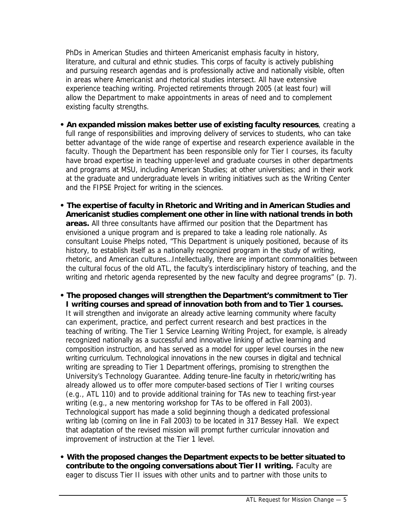PhDs in American Studies and thirteen Americanist emphasis faculty in history, literature, and cultural and ethnic studies. This corps of faculty is actively publishing and pursuing research agendas and is professionally active and nationally visible, often in areas where Americanist and rhetorical studies intersect. All have extensive experience teaching writing. Projected retirements through 2005 (at least four) will allow the Department to make appointments in areas of need and to complement existing faculty strengths.

- **An expanded mission makes better use of existing faculty resources**, creating a full range of responsibilities and improving delivery of services to students, who can take better advantage of the wide range of expertise and research experience available in the faculty. Though the Department has been responsible only for Tier I courses, its faculty have broad expertise in teaching upper-level and graduate courses in other departments and programs at MSU, including American Studies; at other universities; and in their work at the graduate and undergraduate levels in writing initiatives such as the Writing Center and the FIPSE Project for writing in the sciences.
- **The expertise of faculty in Rhetoric and Writing and in American Studies and Americanist studies complement one other in line with national trends in both areas.** All three consultants have affirmed our position that the Department has envisioned a unique program and is prepared to take a leading role nationally. As consultant Louise Phelps noted, "This Department is uniquely positioned, because of its history, to establish itself as a nationally recognized program in the study of writing, rhetoric, and American cultures…Intellectually, there are important commonalities between the cultural focus of the old ATL, the faculty's interdisciplinary history of teaching, and the writing and rhetoric agenda represented by the new faculty and degree programs" (p. 7).
- **The proposed changes will strengthen the Department's commitment to Tier I writing courses and spread of innovation both from and to Tier 1 courses.**  It will strengthen and invigorate an already active learning community where faculty can experiment, practice, and perfect current research and best practices in the teaching of writing. The Tier 1 Service Learning Writing Project, for example, is already recognized nationally as a successful and innovative linking of active learning and composition instruction, and has served as a model for upper level courses in the new writing curriculum. Technological innovations in the new courses in digital and technical writing are spreading to Tier 1 Department offerings, promising to strengthen the University's Technology Guarantee. Adding tenure-line faculty in rhetoric/writing has already allowed us to offer more computer-based sections of Tier I writing courses (e.g., ATL 110) and to provide additional training for TAs new to teaching first-year writing (e.g., a new mentoring workshop for TAs to be offered in Fall 2003). Technological support has made a solid beginning though a dedicated professional writing lab (coming on line in Fall 2003) to be located in 317 Bessey Hall. We expect that adaptation of the revised mission will prompt further curricular innovation and improvement of instruction at the Tier 1 level.
- **With the proposed changes the Department expects to be better situated to contribute to the ongoing conversations about Tier II writing.** Faculty are eager to discuss Tier II issues with other units and to partner with those units to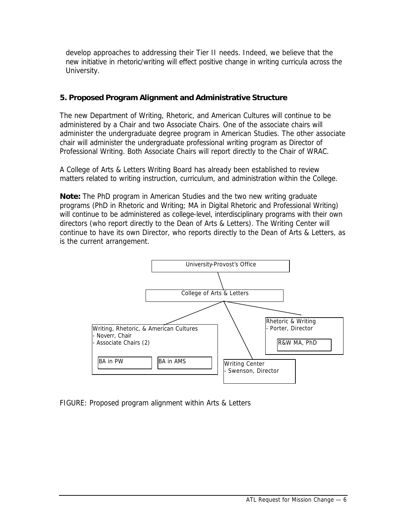develop approaches to addressing their Tier II needs. Indeed, we believe that the new initiative in rhetoric/writing will effect positive change in writing curricula across the University.

## **5. Proposed Program Alignment and Administrative Structure**

The new Department of Writing, Rhetoric, and American Cultures will continue to be administered by a Chair and two Associate Chairs. One of the associate chairs will administer the undergraduate degree program in American Studies. The other associate chair will administer the undergraduate professional writing program as Director of Professional Writing. Both Associate Chairs will report directly to the Chair of WRAC.

A College of Arts & Letters Writing Board has already been established to review matters related to writing instruction, curriculum, and administration within the College.

**Note:** The PhD program in American Studies and the two new writing graduate programs (PhD in Rhetoric and Writing; MA in Digital Rhetoric and Professional Writing) will continue to be administered as college-level, interdisciplinary programs with their own directors (who report directly to the Dean of Arts & Letters). The Writing Center will continue to have its own Director, who reports directly to the Dean of Arts & Letters, as is the current arrangement.



FIGURE: Proposed program alignment within Arts & Letters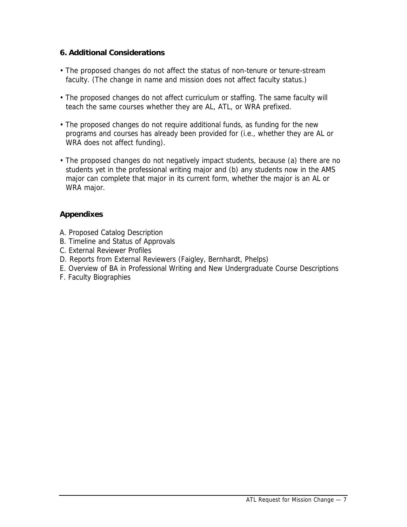## **6. Additional Considerations**

- The proposed changes do not affect the status of non-tenure or tenure-stream faculty. (The change in name and mission does not affect faculty status.)
- The proposed changes do not affect curriculum or staffing. The same faculty will teach the same courses whether they are AL, ATL, or WRA prefixed.
- The proposed changes do not require additional funds, as funding for the new programs and courses has already been provided for (i.e., whether they are AL or WRA does not affect funding).
- The proposed changes do not negatively impact students, because (a) there are no students yet in the professional writing major and (b) any students now in the AMS major can complete that major in its current form, whether the major is an AL or WRA major.

## **Appendixes**

- A. Proposed Catalog Description
- B. Timeline and Status of Approvals
- C. External Reviewer Profiles
- D. Reports from External Reviewers (Faigley, Bernhardt, Phelps)
- E. Overview of BA in Professional Writing and New Undergraduate Course Descriptions
- F. Faculty Biographies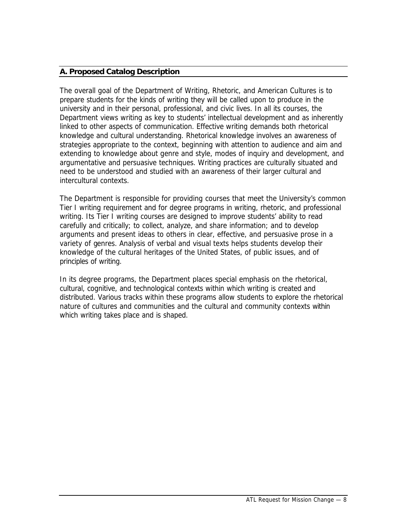## **A. Proposed Catalog Description**

The overall goal of the Department of Writing, Rhetoric, and American Cultures is to prepare students for the kinds of writing they will be called upon to produce in the university and in their personal, professional, and civic lives. In all its courses, the Department views writing as key to students' intellectual development and as inherently linked to other aspects of communication. Effective writing demands both rhetorical knowledge and cultural understanding. Rhetorical knowledge involves an awareness of strategies appropriate to the context, beginning with attention to audience and aim and extending to knowledge about genre and style, modes of inquiry and development, and argumentative and persuasive techniques. Writing practices are culturally situated and need to be understood and studied with an awareness of their larger cultural and intercultural contexts.

The Department is responsible for providing courses that meet the University's common Tier I writing requirement and for degree programs in writing, rhetoric, and professional writing. Its Tier I writing courses are designed to improve students' ability to read carefully and critically; to collect, analyze, and share information; and to develop arguments and present ideas to others in clear, effective, and persuasive prose in a variety of genres. Analysis of verbal and visual texts helps students develop their knowledge of the cultural heritages of the United States, of public issues, and of principles of writing.

In its degree programs, the Department places special emphasis on the rhetorical, cultural, cognitive, and technological contexts within which writing is created and distributed. Various tracks within these programs allow students to explore the rhetorical nature of cultures and communities and the cultural and community contexts within which writing takes place and is shaped.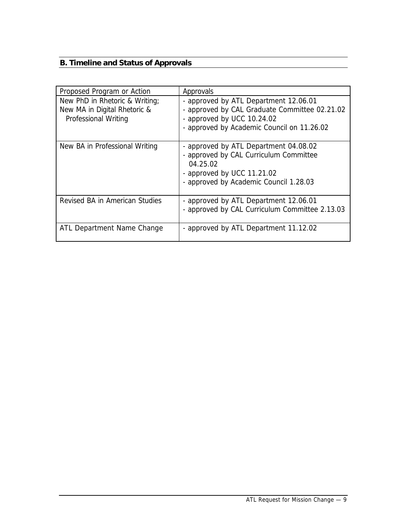# **B. Timeline and Status of Approvals**

| Proposed Program or Action                                                             | Approvals                                                                                                                                                           |  |  |
|----------------------------------------------------------------------------------------|---------------------------------------------------------------------------------------------------------------------------------------------------------------------|--|--|
| New PhD in Rhetoric & Writing;<br>New MA in Digital Rhetoric &<br>Professional Writing | - approved by ATL Department 12.06.01<br>- approved by CAL Graduate Committee 02.21.02<br>- approved by UCC 10.24.02<br>- approved by Academic Council on 11.26.02  |  |  |
| New BA in Professional Writing                                                         | - approved by ATL Department 04.08.02<br>- approved by CAL Curriculum Committee<br>04.25.02<br>- approved by UCC 11.21.02<br>- approved by Academic Council 1.28.03 |  |  |
| Revised BA in American Studies                                                         | - approved by ATL Department 12.06.01<br>- approved by CAL Curriculum Committee 2.13.03                                                                             |  |  |
| ATL Department Name Change                                                             | - approved by ATL Department 11.12.02                                                                                                                               |  |  |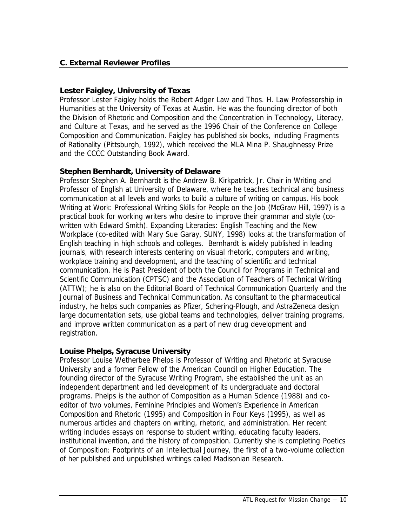## **C. External Reviewer Profiles**

#### **Lester Faigley, University of Texas**

Professor Lester Faigley holds the Robert Adger Law and Thos. H. Law Professorship in Humanities at the University of Texas at Austin. He was the founding director of both the Division of Rhetoric and Composition and the Concentration in Technology, Literacy, and Culture at Texas, and he served as the 1996 Chair of the Conference on College Composition and Communication. Faigley has published six books, including *Fragments of Rationality* (Pittsburgh, 1992), which received the MLA Mina P. Shaughnessy Prize and the CCCC Outstanding Book Award.

## **Stephen Bernhardt, University of Delaware**

Professor Stephen A. Bernhardt is the Andrew B. Kirkpatrick, Jr. Chair in Writing and Professor of English at University of Delaware, where he teaches technical and business communication at all levels and works to build a culture of writing on campus. His book *Writing at Work: Professional Writing Skills for People on the Job (McGraw Hill, 1997) is a* practical book for working writers who desire to improve their grammar and style (cowritten with Edward Smith). *Expanding Literacies: English Teaching and the New Workplace* (co-edited with Mary Sue Garay, SUNY, 1998) looks at the transformation of English teaching in high schools and colleges. Bernhardt is widely published in leading journals, with research interests centering on visual rhetoric, computers and writing, workplace training and development, and the teaching of scientific and technical communication. He is Past President of both the Council for Programs in Technical and Scientific Communication (CPTSC) and the Association of Teachers of Technical Writing (ATTW); he is also on the Editorial Board of *Technical Communication Quarterly* and the *Journal of Business and Technical Communication*. As consultant to the pharmaceutical industry, he helps such companies as Pfizer, Schering-Plough, and AstraZeneca design large documentation sets, use global teams and technologies, deliver training programs, and improve written communication as a part of new drug development and registration.

#### **Louise Phelps, Syracuse University**

Professor Louise Wetherbee Phelps is Professor of Writing and Rhetoric at Syracuse University and a former Fellow of the American Council on Higher Education. The founding director of the Syracuse Writing Program, she established the unit as an independent department and led development of its undergraduate and doctoral programs. Phelps is the author of *Composition as a Human Science* (1988) and coeditor of two volumes, *Feminine Principles and Women's Experience in American Composition and Rhetoric* (1995) and *Composition in Four Keys* (1995), as well as numerous articles and chapters on writing, rhetoric, and administration. Her recent writing includes essays on response to student writing, educating faculty leaders, institutional invention, and the history of composition. Currently she is completing *Poetics of Composition: Footprints of an Intellectual Journey*, the first of a two-volume collection of her published and unpublished writings called *Madisonian Research.*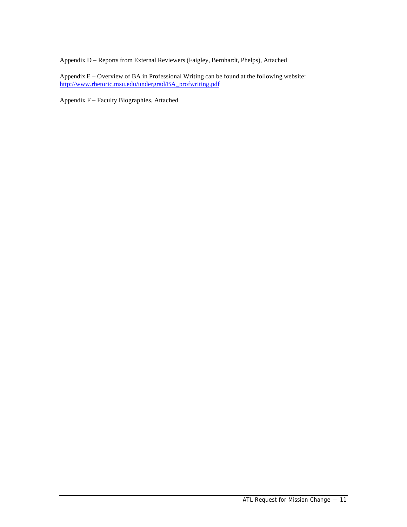Appendix D – Reports from External Reviewers (Faigley, Bernhardt, Phelps), Attached

Appendix E – Overview of BA in Professional Writing can be found at the following website: http://www.rhetoric.msu.edu/undergrad/BA\_profwriting.pdf

Appendix F – Faculty Biographies, Attached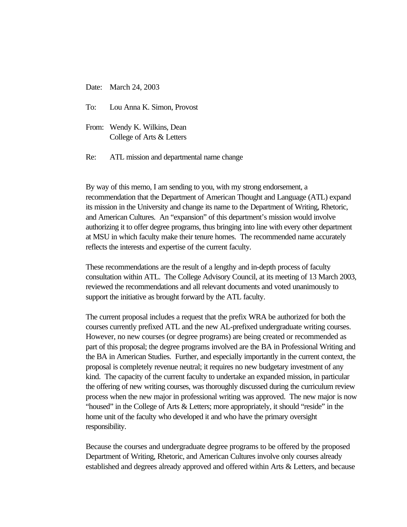Date: March 24, 2003

- To: Lou Anna K. Simon, Provost
- From: Wendy K. Wilkins, Dean College of Arts & Letters
- Re: ATL mission and departmental name change

By way of this memo, I am sending to you, with my strong endorsement, a recommendation that the Department of American Thought and Language (ATL) expand its mission in the University and change its name to the Department of Writing, Rhetoric, and American Cultures. An "expansion" of this department's mission would involve authorizing it to offer degree programs, thus bringing into line with every other department at MSU in which faculty make their tenure homes. The recommended name accurately reflects the interests and expertise of the current faculty.

These recommendations are the result of a lengthy and in-depth process of faculty consultation within ATL. The College Advisory Council, at its meeting of 13 March 2003, reviewed the recommendations and all relevant documents and voted unanimously to support the initiative as brought forward by the ATL faculty.

The current proposal includes a request that the prefix WRA be authorized for both the courses currently prefixed ATL and the new AL-prefixed undergraduate writing courses. However, no new courses (or degree programs) are being created or recommended as part of this proposal; the degree programs involved are the BA in Professional Writing and the BA in American Studies. Further, and especially importantly in the current context, the proposal is completely revenue neutral; it requires no new budgetary investment of any kind. The capacity of the current faculty to undertake an expanded mission, in particular the offering of new writing courses, was thoroughly discussed during the curriculum review process when the new major in professional writing was approved. The new major is now "housed" in the College of Arts & Letters; more appropriately, it should "reside" in the home unit of the faculty who developed it and who have the primary oversight responsibility.

Because the courses and undergraduate degree programs to be offered by the proposed Department of Writing, Rhetoric, and American Cultures involve only courses already established and degrees already approved and offered within Arts & Letters, and because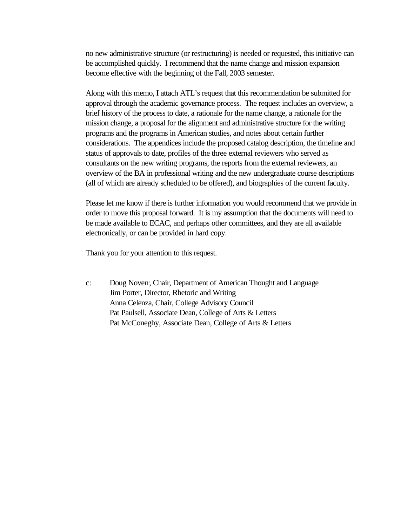no new administrative structure (or restructuring) is needed or requested, this initiative can be accomplished quickly. I recommend that the name change and mission expansion become effective with the beginning of the Fall, 2003 semester.

Along with this memo, I attach ATL's request that this recommendation be submitted for approval through the academic governance process. The request includes an overview, a brief history of the process to date, a rationale for the name change, a rationale for the mission change, a proposal for the alignment and administrative structure for the writing programs and the programs in American studies, and notes about certain further considerations. The appendices include the proposed catalog description, the timeline and status of approvals to date, profiles of the three external reviewers who served as consultants on the new writing programs, the reports from the external reviewers, an overview of the BA in professional writing and the new undergraduate course descriptions (all of which are already scheduled to be offered), and biographies of the current faculty.

Please let me know if there is further information you would recommend that we provide in order to move this proposal forward. It is my assumption that the documents will need to be made available to ECAC, and perhaps other committees, and they are all available electronically, or can be provided in hard copy.

Thank you for your attention to this request.

c: Doug Noverr, Chair, Department of American Thought and Language Jim Porter, Director, Rhetoric and Writing Anna Celenza, Chair, College Advisory Council Pat Paulsell, Associate Dean, College of Arts & Letters Pat McConeghy, Associate Dean, College of Arts & Letters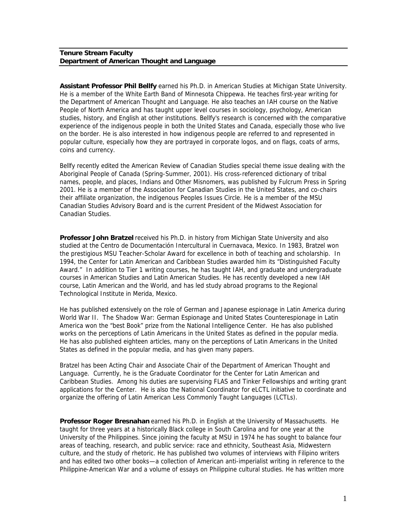#### **Tenure Stream Faculty Department of American Thought and Language**

**Assistant Professor Phil Bellfy** earned his Ph.D. in American Studies at Michigan State University. He is a member of the White Earth Band of Minnesota Chippewa. He teaches first-year writing for the Department of American Thought and Language. He also teaches an IAH course on the Native People of North America and has taught upper level courses in sociology, psychology, American studies, history, and English at other institutions. Bellfy's research is concerned with the comparative experience of the indigenous people in both the United States and Canada, especially those who live on the border. He is also interested in how indigenous people are referred to and represented in popular culture, especially how they are portrayed in corporate logos, and on flags, coats of arms, coins and currency.

Bellfy recently edited the *American Review of Canadian Studies* special theme issue dealing with the Aboriginal People of Canada (Spring-Summer, 2001). His cross-referenced dictionary of tribal names, people, and places, *Indians and Other Misnomers*, was published by Fulcrum Press in Spring 2001. He is a member of the Association for Canadian Studies in the United States, and co-chairs their affiliate organization, the indigenous Peoples Issues Circle. He is a member of the MSU Canadian Studies Advisory Board and is the current President of the Midwest Association for Canadian Studies.

**Professor John Bratzel** received his Ph.D. in history from Michigan State University and also studied at the *Centro de Documentación Intercultural* in Cuernavaca, Mexico. In 1983, Bratzel won the prestigious MSU Teacher-Scholar Award for excellence in both of teaching and scholarship. In 1994, the Center for Latin American and Caribbean Studies awarded him its "Distinguished Faculty Award." In addition to Tier 1 writing courses, he has taught IAH, and graduate and undergraduate courses in American Studies and Latin American Studies. He has recently developed a new IAH course, Latin American and the World, and has led study abroad programs to the Regional Technological Institute in Merida, Mexico.

He has published extensively on the role of German and Japanese espionage in Latin America during World War II. *The Shadow War: German Espionage and United States Counterespionage in Latin America* won the "best Book" prize from the National Intelligence Center. He has also published works on the perceptions of Latin Americans in the United States as defined in the popular media. He has also published eighteen articles, many on the perceptions of Latin Americans in the United States as defined in the popular media, and has given many papers.

Bratzel has been Acting Chair and Associate Chair of the Department of American Thought and Language. Currently, he is the Graduate Coordinator for the Center for Latin American and Caribbean Studies. Among his duties are supervising FLAS and Tinker Fellowships and writing grant applications for the Center. He is also the National Coordinator for *eLCTL* initiative to coordinate and organize the offering of Latin American Less Commonly Taught Languages (LCTLs).

**Professor Roger Bresnahan** earned his Ph.D. in English at the University of Massachusetts. He taught for three years at a historically Black college in South Carolina and for one year at the University of the Philippines. Since joining the faculty at MSU in 1974 he has sought to balance four areas of teaching, research, and public service: race and ethnicity, Southeast Asia, Midwestern culture, and the study of rhetoric. He has published two volumes of interviews with Filipino writers and has edited two other books—a collection of American anti-imperialist writing in reference to the Philippine-American War and a volume of essays on Philippine cultural studies. He has written more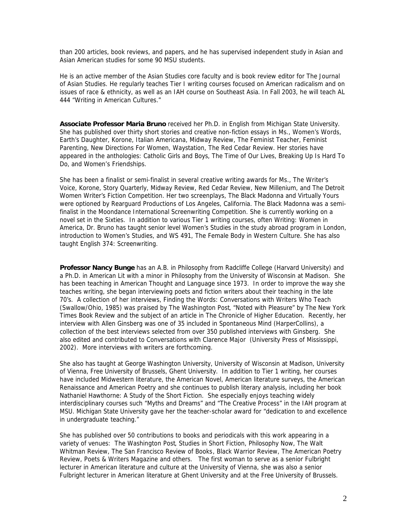than 200 articles, book reviews, and papers, and he has supervised independent study in Asian and Asian American studies for some 90 MSU students.

He is an active member of the Asian Studies core faculty and is book review editor for *The Journal of Asian Studies.* He regularly teaches Tier I writing courses focused on American radicalism and on issues of race & ethnicity, as well as an IAH course on Southeast Asia. In Fall 2003, he will teach AL 444 "Writing in American Cultures."

**Associate Professor Maria Bruno** received her Ph.D. in English from Michigan State University. She has published over thirty short stories and creative non-fiction essays in *Ms.*, *Women's Words, Earth's Daughter, Korone, Italian Americana, Midway Review, The Feminist Teacher, Feminist Parenting, New Directions For Women, Waystation, The Red Cedar Review.* Her stories have appeared in the anthologies: *Catholic Girls and Boys, The Time of Our Lives, Breaking Up Is Hard To Do, and Women's Friendships.*

She has been a finalist or semi-finalist in several creative writing awards for *Ms., The Writer's Voice, Korone, Story Quarterly, Midway Review, Red Cedar Review, New Millenium,* and The Detroit Women Writer's Fiction Competition. Her two screenplays, *The Black Madonna* and *Virtually Yours*  were optioned by Rearguard Productions of Los Angeles, California. *The Black Madonna* was a semifinalist in the Moondance International Screenwriting Competition. She is currently working on a novel set in the Sixties. In addition to various Tier 1 writing courses, often Writing: Women in America, Dr. Bruno has taught senior level Women's Studies in the study abroad program in London, introduction to Women's Studies, and WS 491, The Female Body in Western Culture. She has also taught English 374: Screenwriting.

**Professor Nancy Bunge** has an A.B. in Philosophy from Radcliffe College (Harvard University) and a Ph.D. in American Lit with a minor in Philosophy from the University of Wisconsin at Madison. She has been teaching in American Thought and Language since 1973. In order to improve the way she teaches writing, she began interviewing poets and fiction writers about their teaching in the late 70's. A collection of her interviews, *Finding the Words: Conversations with Writers Who Teach*  (Swallow/Ohio, 1985) was praised by *The Washington Post*, "Noted with Pleasure" by *The New York Times Book Review* and the subject of an article in *The Chronicle of Higher Education*. Recently, her interview with Allen Ginsberg was one of 35 included in *Spontaneous Mind* (HarperCollins), a collection of the best interviews selected from over 350 published interviews with Ginsberg. She also edited and contributed to *Conversations with Clarence Major* (University Press of Mississippi, 2002). More interviews with writers are forthcoming.

She also has taught at George Washington University, University of Wisconsin at Madison, University of Vienna, Free University of Brussels, Ghent University. In addition to Tier 1 writing, her courses have included Midwestern literature, the American Novel, American literature surveys, the American Renaissance and American Poetry and she continues to publish literary analysis, including her book *Nathaniel Hawthorne: A Study of the Short Fiction*. She especially enjoys teaching widely interdisciplinary courses such "Myths and Dreams" and "The Creative Process" in the IAH program at MSU. Michigan State University gave her the teacher-scholar award for "dedication to and excellence in undergraduate teaching."

She has published over 50 contributions to books and periodicals with this work appearing in a variety of venues: *The Washington Post*, *Studies in Short Fiction*, *Philosophy Now, The Walt Whitman Review*, *The San Francisco Review of Books*, *Black Warrior Review*, *The American Poetry Review*, *Poets & Writers Magazine* and others*.* The first woman to serve as a senior Fulbright lecturer in American literature and culture at the University of Vienna, she was also a senior Fulbright lecturer in American literature at Ghent University and at the Free University of Brussels.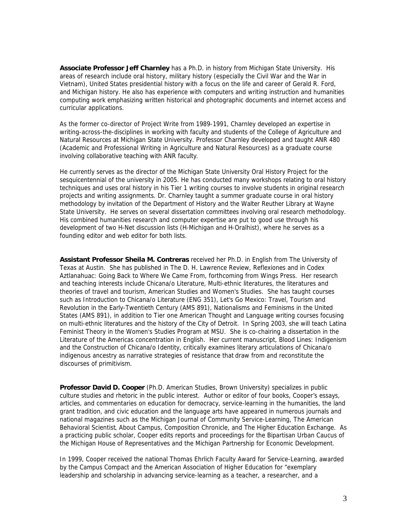**Associate Professor Jeff Charnley** has a Ph.D. in history from Michigan State University. His areas of research include oral history, military history (especially the Civil War and the War in Vietnam), United States presidential history with a focus on the life and career of Gerald R. Ford, and Michigan history. He also has experience with computers and writing instruction and humanities computing work emphasizing written historical and photographic documents and internet access and curricular applications.

As the former co-director of Project Write from 1989-1991, Charnley developed an expertise in writing-across-the-disciplines in working with faculty and students of the College of Agriculture and Natural Resources at Michigan State University. Professor Charnley developed and taught ANR 480 (Academic and Professional Writing in Agriculture and Natural Resources) as a graduate course involving collaborative teaching with ANR faculty.

He currently serves as the director of the Michigan State University Oral History Project for the sesquicentennial of the university in 2005. He has conducted many workshops relating to oral history techniques and uses oral history in his Tier 1 writing courses to involve students in original research projects and writing assignments. Dr. Charnley taught a summer graduate course in oral history methodology by invitation of the Department of History and the Walter Reuther Library at Wayne State University. He serves on several dissertation committees involving oral research methodology. His combined humanities research and computer expertise are put to good use through his development of two H-Net discussion lists (H-Michigan and H-Oralhist), where he serves as a founding editor and web editor for both lists.

**Assistant Professor Sheila M. Contreras** received her Ph.D. in English from The University of Texas at Austin. She has published in *The D. H. Lawrence Review*, *Reflexiones* and in *Codex Aztlanahuac: Going Back to Where We Came From*, forthcoming from Wings Press. Her research and teaching interests include Chicana/o Literature, Multi-ethnic literatures, the literatures and theories of travel and tourism, American Studies and Women's Studies. She has taught courses such as Introduction to Chicana/o Literature (ENG 351), Let's Go Mexico: Travel, Tourism and Revolution in the Early-Twentieth Century (AMS 891), Nationalisms and Feminisms in the United States (AMS 891), in addition to Tier one American Thought and Language writing courses focusing on multi-ethnic literatures and the history of the City of Detroit. In Spring 2003, she will teach Latina Feminist Theory in the Women's Studies Program at MSU. She is co-chairing a dissertation in the Literature of the Americas concentration in English. Her current manuscript, *Blood Lines: Indigenism and the Construction of Chicana/o Identity*, critically examines literary articulations of Chicana/o indigenous ancestry as narrative strategies of resistance that draw from and reconstitute the discourses of primitivism.

**Professor David D. Cooper** (Ph.D. American Studies, Brown University) specializes in public culture studies and rhetoric in the public interest. Author or editor of four books, Cooper's essays, articles, and commentaries on education for democracy, service-learning in the humanities, the land grant tradition, and civic education and the language arts have appeared in numerous journals and national magazines such as the *Michigan Journal of Community Service-Learning*, *The American Behavioral Scientist*, *About Campus*, *Composition Chronicle*, and *The Higher Education Exchange*. As a practicing public scholar, Cooper edits reports and proceedings for the Bipartisan Urban Caucus of the Michigan House of Representatives and the Michigan Partnership for Economic Development.

In 1999, Cooper received the national Thomas Ehrlich Faculty Award for Service-Learning, awarded by the Campus Compact and the American Association of Higher Education for "exemplary leadership and scholarship in advancing service-learning as a teacher, a researcher, and a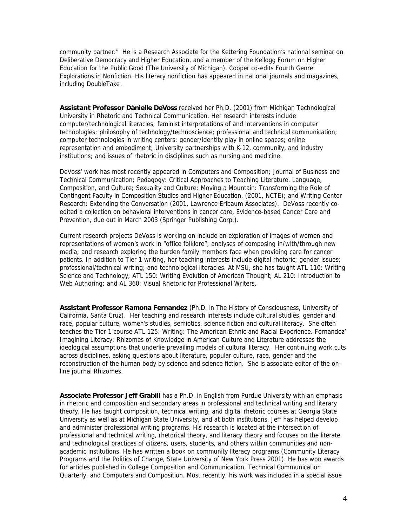community partner." He is a Research Associate for the Kettering Foundation's national seminar on Deliberative Democracy and Higher Education, and a member of the Kellogg Forum on Higher Education for the Public Good (The University of Michigan). Cooper co-edits *Fourth Genre: Explorations in Nonfiction*. His literary nonfiction has appeared in national journals and magazines, including *DoubleTake*.

**Assistant Professor Dànielle DeVoss** received her Ph.D. (2001) from Michigan Technological University in Rhetoric and Technical Communication. Her research interests include computer/technological literacies; feminist interpretations of and interventions in computer technologies; philosophy of technology/technoscience; professional and technical communication; computer technologies in writing centers; gender/identity play in online spaces; online representation and embodiment; University partnerships with K-12, community, and industry institutions; and issues of rhetoric in disciplines such as nursing and medicine.

DeVoss' work has most recently appeared in *Computers and Composition*; *Journal of Business and Technical Communication*; *Pedagogy: Critical Approaches to Teaching Literature, Language, Composition, and Culture*; *Sexuality and Culture*; *Moving a Mountain: Transforming the Role of Contingent Faculty in Composition Studies and Higher Education*, (2001, NCTE); and *Writing Center Research: Extending the Conversation* (2001, Lawrence Erlbaum Associates). DeVoss recently coedited a collection on behavioral interventions in cancer care, *Evidence-based Cancer Care and Prevention*, due out in March 2003 (Springer Publishing Corp.).

Current research projects DeVoss is working on include an exploration of images of women and representations of women's work in "office folklore"; analyses of composing in/with/through new media; and research exploring the burden family members face when providing care for cancer patients. In addition to Tier 1 writing, her teaching interests include digital rhetoric; gender issues; professional/technical writing; and technological literacies. At MSU, she has taught ATL 110: Writing Science and Technology; ATL 150: Writing Evolution of American Thought; AL 210: Introduction to Web Authoring; and AL 360: Visual Rhetoric for Professional Writers.

**Assistant Professor Ramona Fernandez** (Ph.D. in The History of Consciousness, University of California, Santa Cruz). Her teaching and research interests include cultural studies, gender and race, popular culture, women's studies, semiotics, science fiction and cultural literacy. She often teaches the Tier 1 course ATL 125: Writing: The American Ethnic and Racial Experience. Fernandez' *Imagining Literacy: Rhizomes of Knowledge in American Culture and Literature* addresses the ideological assumptions that underlie prevailing models of cultural literacy. Her continuing work cuts across disciplines, asking questions about literature, popular culture, race, gender and the reconstruction of the human body by science and science fiction. She is associate editor of the online journal *Rhizomes*.

**Associate Professor Jeff Grabill** has a Ph.D. in English from Purdue University with an emphasis in rhetoric and composition and secondary areas in professional and technical writing and literary theory. He has taught composition, technical writing, and digital rhetoric courses at Georgia State University as well as at Michigan State University, and at both institutions, Jeff has helped develop and administer professional writing programs. His research is located at the intersection of professional and technical writing, rhetorical theory, and literacy theory and focuses on the literate and technological practices of citizens, users, students, and others within communities and nonacademic institutions. He has written a book on community literacy programs (*Community Literacy Programs and the Politics of Change*, State University of New York Press 2001). He has won awards for articles published in *College Composition and Communication*, *Technical Communication Quarterly*, and *Computers and Composition*. Most recently, his work was included in a special issue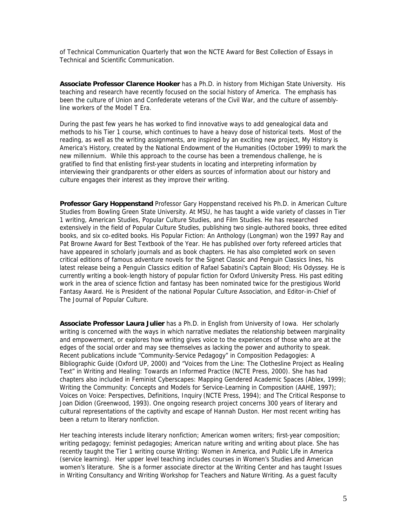of *Technical Communication Quarterly* that won the NCTE Award for Best Collection of Essays in Technical and Scientific Communication.

**Associate Professor Clarence Hooker** has a Ph.D. in history from Michigan State University. His teaching and research have recently focused on the social history of America. The emphasis has been the culture of Union and Confederate veterans of the Civil War, and the culture of assemblyline workers of the Model T Era.

During the past few years he has worked to find innovative ways to add genealogical data and methods to his Tier 1 course, which continues to have a heavy dose of historical texts. Most of the reading, as well as the writing assignments, are inspired by an exciting new project, *My History is America's History*, created by the National Endowment of the Humanities (October 1999) to mark the new millennium. While this approach to the course has been a tremendous challenge, he is gratified to find that enlisting first-year students in locating and interpreting information by interviewing their grandparents or other elders as sources of information about our history and culture engages their interest as they improve their writing.

**Professor Gary Hoppenstand** Professor Gary Hoppenstand received his Ph.D. in American Culture Studies from Bowling Green State University. At MSU, he has taught a wide variety of classes in Tier 1 writing, American Studies, Popular Culture Studies, and Film Studies. He has researched extensively in the field of Popular Culture Studies, publishing two single-authored books, three edited books, and six co-edited books. His *Popular Fiction: An Anthology* (Longman) won the 1997 Ray and Pat Browne Award for Best Textbook of the Year. He has published over forty refereed articles that have appeared in scholarly journals and as book chapters. He has also completed work on seven critical editions of famous adventure novels for the Signet Classic and Penguin Classics lines, his latest release being a Penguin Classics edition of Rafael Sabatini's *Captain Blood; His Odyssey*. He is currently writing a book-length history of popular fiction for Oxford University Press. His past editing work in the area of science fiction and fantasy has been nominated twice for the prestigious World Fantasy Award. He is President of the national Popular Culture Association, and Editor-in-Chief of The Journal of Popular Culture.

**Associate Professor Laura Julier** has a Ph.D. in English from University of Iowa. Her scholarly writing is concerned with the ways in which narrative mediates the relationship between marginality and empowerment, or explores how writing gives voice to the experiences of those who are at the edges of the social order and may see themselves as lacking the power and authority to speak. Recent publications include "Community-Service Pedagogy" in *Composition Pedagogies: A Bibliographic Guide* (Oxford UP, 2000) and "Voices from the Line: The Clothesline Project as Healing Text" in *Writing and Healing: Towards an Informed Practice* (NCTE Press, 2000). She has had chapters also included in *Feminist Cyberscapes: Mapping Gendered Academic Spaces* (Ablex, 1999); *Writing the Community: Concepts and Models for Service-Learning in Composition* (AAHE, 1997); *Voices on Voice: Perspectives, Definitions, Inquiry* (NCTE Press, 1994); and *The Critical Response to Joan Didion* (Greenwood, 1993). One ongoing research project concerns 300 years of literary and cultural representations of the captivity and escape of Hannah Duston. Her most recent writing has been a return to literary nonfiction.

Her teaching interests include literary nonfiction; American women writers; first-year composition; writing pedagogy; feminist pedagogies; American nature writing and writing about place. She has recently taught the Tier 1 writing course Writing: Women in America, and Public Life in America (service learning). Her upper level teaching includes courses in Women's Studies and American women's literature. She is a former associate director at the Writing Center and has taught Issues in Writing Consultancy and Writing Workshop for Teachers and Nature Writing. As a guest faculty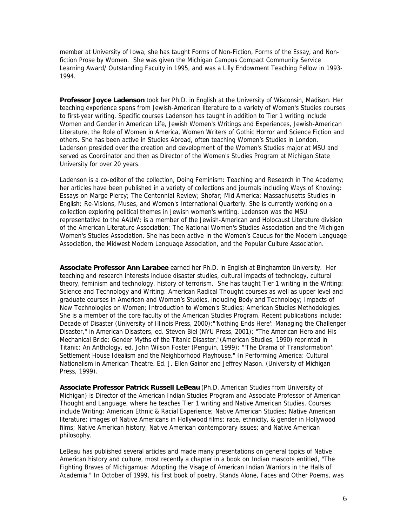member at University of Iowa, she has taught Forms of Non-Fiction, Forms of the Essay, and Nonfiction Prose by Women. She was given the Michigan Campus Compact Community Service Learning Award/ Outstanding Faculty in 1995, and was a Lilly Endowment Teaching Fellow in 1993- 1994.

**Professor Joyce Ladenson** took her Ph.D. in English at the University of Wisconsin, Madison. Her teaching experience spans from Jewish-American literature to a variety of Women's Studies courses to first-year writing. Specific courses Ladenson has taught in addition to Tier 1 writing include Women and Gender in American Life, Jewish Women's Writings and Experiences, Jewish-American Literature, the Role of Women in America, Women Writers of Gothic Horror and Science Fiction and others. She has been active in Studies Abroad, often teaching Women's Studies in London. Ladenson presided over the creation and development of the Women's Studies major at MSU and served as Coordinator and then as Director of the Women's Studies Program at Michigan State University for over 20 years.

Ladenson is a co-editor of the collection*, Doing Feminism: Teaching and Research in The Academy*; her articles have been published in a variety of collections and journals including *Ways of Knowing: Essays on Marge Piercy; The Centennial Review; Shofar; Mid America; Massachusetts Studies in English; Re-Visions*, *Muses*, and *Women's International Quarterly*. She is currently working on a collection exploring political themes in Jewish women's writing. Ladenson was the MSU representative to the AAUW; is a member of the Jewish-American and Holocaust Literature division of the American Literature Association; The National Women's Studies Association and the Michigan Women's Studies Association. She has been active in the Women's Caucus for the Modern Language Association, the Midwest Modern Language Association, and the Popular Culture Association.

**Associate Professor Ann Larabee** earned her Ph.D. in English at Binghamton University. Her teaching and research interests include disaster studies, cultural impacts of technology, cultural theory, feminism and technology, history of terrorism. She has taught Tier 1 writing in the Writing: Science and Technology and Writing: American Radical Thought courses as well as upper level and graduate courses in American and Women's Studies, including Body and Technology; Impacts of New Technologies on Women; Introduction to Women's Studies; American Studies Methodologies. She is a member of the core faculty of the American Studies Program. Recent publications include: *Decade of Disaster* (University of Illinois Press, 2000);"'Nothing Ends Here': Managing the Challenger Disaster," in *American Disasters*, ed. Steven Biel (NYU Press, 2001); "The American Hero and His Mechanical Bride: Gender Myths of the Titanic Disaster,"(*American Studies*, 1990) reprinted in *Titanic: An Anthology*, ed. John Wilson Foster (Penguin, 1999); "'The Drama of Transformation': Settlement House Idealism and the Neighborhood Playhouse." In *Performing America: Cultural Nationalism in American Theatre*. Ed. J. Ellen Gainor and Jeffrey Mason. (University of Michigan Press, 1999).

**Associate Professor Patrick Russell LeBeau** (Ph.D. American Studies from University of Michigan) is Director of the American Indian Studies Program and Associate Professor of American Thought and Language, where he teaches Tier 1 writing and Native American Studies. Courses include Writing: American Ethnic & Racial Experience; Native American Studies; Native American literature; images of Native Americans in Hollywood films; race, ethnicity, & gender in Hollywood films; Native American history; Native American contemporary issues; and Native American philosophy.

LeBeau has published several articles and made many presentations on general topics of Native American history and culture, most recently a chapter in a book on Indian mascots entitled, "The Fighting Braves of Michigamua: Adopting the Visage of American Indian Warriors in the Halls of Academia." In October of 1999, his first book of poetry, *Stands Alone, Faces and Other Poems*, was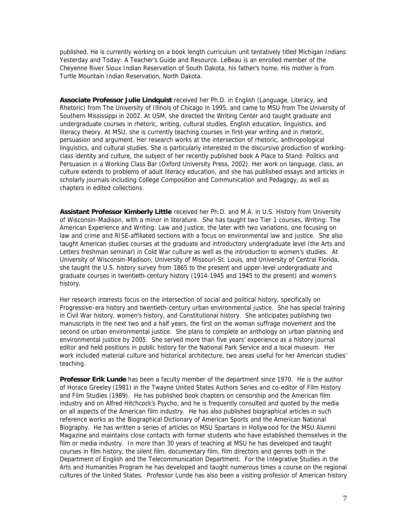published. He is currently working on a book length curriculum unit tentatively titled *Michigan Indians Yesterday and Today: A Teacher's Guide and Resource*. LeBeau is an enrolled member of the Cheyenne River Sioux Indian Reservation of South Dakota, his father's home. His mother is from Turtle Mountain Indian Reservation, North Dakota.

**Associate Professor Julie Lindquist** received her Ph.D. in English (Language, Literacy, and Rhetoric) from The University of Illinois of Chicago in 1995, and came to MSU from The University of Southern Mississippi in 2002. At USM, she directed the Writing Center and taught graduate and undergraduate courses in rhetoric, writing, cultural studies, English education, linguistics, and literacy theory. At MSU, she is currently teaching courses in first-year writing and in rhetoric, persuasion and argument. Her research works at the intersection of rhetoric, anthropological linguistics, and cultural studies. She is particularly interested in the discursive production of workingclass identity and culture, the subject of her recently published book *A Place to Stand: Politics and Persuasion in a Working Class Bar* (Oxford University Press, 2002). Her work on language, class, an culture extends to problems of adult literacy education, and she has published essays and articles in scholarly journals including *College Composition and Communication* and *Pedagogy*, as well as chapters in edited collections.

**Assistant Professor Kimberly Little** received her Ph.D. and M.A. in U.S. History from University of Wisconsin-Madison, with a minor in literature. She has taught two Tier 1 courses, Writing: The American Experience and Writing: Law and Justice, the later with two variations, one focusing on law and crime and RISE-affiliated sections with a focus on environmental law and justice. She also taught American studies courses at the graduate and introductory undergraduate level (the Arts and Letters freshman seminar) in Cold War culture as well as the introduction to women's studies. At University of Wisconsin-Madison, University of Missouri-St. Louis, and University of Central Florida, she taught the U.S. history survey from 1865 to the present and upper-level undergraduate and graduate courses in twentieth-century history (1914-1945 and 1945 to the present) and women's history.

Her research interests focus on the intersection of social and political history, specifically on Progressive-era history and twentieth-century urban environmental justice. She has special training in Civil War history, women's history, and Constitutional history. She anticipates publishing two manuscripts in the next two and a half years, the first on the woman suffrage movement and the second on urban environmental justice. She plans to complete an anthology on urban planning and environmental justice by 2005. She served more than five years' experience as a history journal editor and held positions in public history for the National Park Service and a local museum. Her work included material culture and historical architecture, two areas useful for her American studies' teaching.

**Professor Erik Lunde** has been a faculty member of the department since 1970. He is the author of *Horace Greeley* (1981) in the Twayne United States Authors Series and co-editor of *Film History* and *Film Studies* (1989). He has published book chapters on censorship and the American film industry and on Alfred Hitchcock's *Psycho*, and he is frequently consulted and quoted by the media on all aspects of the American film industry. He has also published biographical articles in such reference works as the *Biographical Dictionary of American Sports* and the *American National Biography*. He has written a series of articles on MSU Spartans in Hollywood for the *MSU Alumni Magazine* and maintains close contacts with former students who have established themselves in the film or media industry. In more than 30 years of teaching at MSU he has developed and taught courses in film history, the silent film, documentary film, film directors and genres both in the Department of English and the Telecommunication Department. For the Integrative Studies in the Arts and Humanities Program he has developed and taught numerous times a course on the regional cultures of the United States. Professor Lunde has also been a visiting professor of American history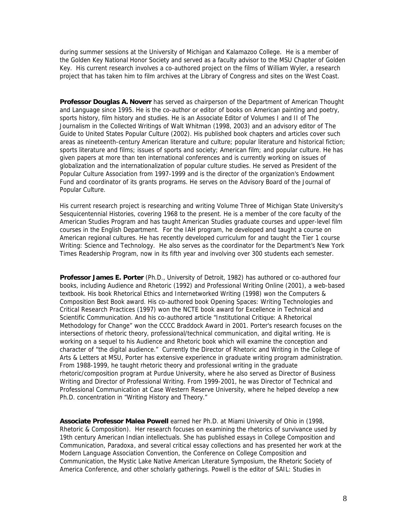during summer sessions at the University of Michigan and Kalamazoo College. He is a member of the Golden Key National Honor Society and served as a faculty advisor to the MSU Chapter of Golden Key. His current research involves a co-authored project on the films of William Wyler, a research project that has taken him to film archives at the Library of Congress and sites on the West Coast.

**Professor Douglas A. Noverr** has served as chairperson of the Department of American Thought and Language since 1995. He is the co-author or editor of books on American painting and poetry, sports history, film history and studies. He is an Associate Editor of Volumes I and II of *The Journalism* in the Collected Writings of Walt Whitman (1998, 2003) and an advisory editor of *The Guide to United States Popular Culture* (2002). His published book chapters and articles cover such areas as nineteenth-century American literature and culture; popular literature and historical fiction; sports literature and films; issues of sports and society; American film; and popular culture. He has given papers at more than ten international conferences and is currently working on issues of globalization and the internationalization of popular culture studies. He served as President of the Popular Culture Association from 1997-1999 and is the director of the organization's Endowment Fund and coordinator of its grants programs. He serves on the Advisory Board of the *Journal of Popular Culture*.

His current research project is researching and writing Volume Three of Michigan State University's Sesquicentennial Histories, covering 1968 to the present. He is a member of the core faculty of the American Studies Program and has taught American Studies graduate courses and upper-level film courses in the English Department. For the IAH program, he developed and taught a course on American regional cultures. He has recently developed curriculum for and taught the Tier 1 course Writing: Science and Technology. He also serves as the coordinator for the Department's New York Times Readership Program, now in its fifth year and involving over 300 students each semester.

**Professor James E. Porter** (Ph.D., University of Detroit, 1982) has authored or co-authored four books, including Audience and Rhetoric (1992) and Professional Writing Online (2001), a web-based textbook. His book *Rhetorical Ethics and Internetworked Writing* (1998) won the Computers & Composition Best Book award. His co-authored *book Opening Spaces: Writing Technologies and Critical Research Practices* (1997) won the NCTE book award for Excellence in Technical and Scientific Communication. And his co-authored article "Institutional Critique: A Rhetorical Methodology for Change" won the CCCC Braddock Award in 2001. Porter's research focuses on the intersections of rhetoric theory, professional/technical communication, and digital writing. He is working on a sequel to his *Audience and Rhetoric* book which will examine the conception and character of "the digital audience." Currently the Director of Rhetoric and Writing in the College of Arts & Letters at MSU, Porter has extensive experience in graduate writing program administration. From 1988-1999, he taught rhetoric theory and professional writing in the graduate rhetoric/composition program at Purdue University, where he also served as Director of Business Writing and Director of Professional Writing. From 1999-2001, he was Director of Technical and Professional Communication at Case Western Reserve University, where he helped develop a new Ph.D. concentration in "Writing History and Theory."

**Associate Professor Malea Powell** earned her Ph.D. at Miami University of Ohio in (1998, Rhetoric & Composition). Her research focuses on examining the rhetorics of survivance used by 19th century American Indian intellectuals. She has published essays in *College Composition and Communication*, *Paradoxa*, and several critical essay collections and has presented her work at the Modern Language Association Convention, the Conference on College Composition and Communication, the Mystic Lake Native American Literature Symposium, the Rhetoric Society of America Conference, and other scholarly gatherings. Powell is the editor of SAIL: *Studies in*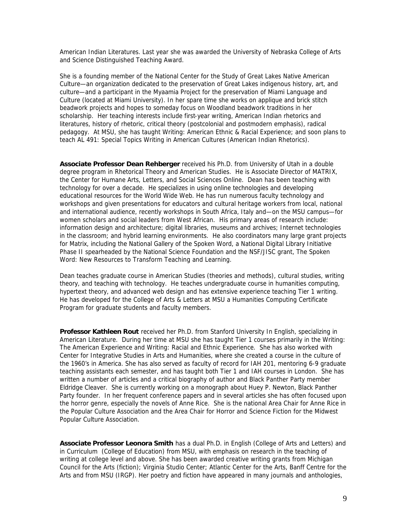*American Indian Literatures*. Last year she was awarded the University of Nebraska College of Arts and Science Distinguished Teaching Award.

She is a founding member of the National Center for the Study of Great Lakes Native American Culture—an organization dedicated to the preservation of Great Lakes indigenous history, art, and culture—and a participant in the Myaamia Project for the preservation of Miami Language and Culture (located at Miami University). In her spare time she works on applique and brick stitch beadwork projects and hopes to someday focus on Woodland beadwork traditions in her scholarship. Her teaching interests include first-year writing, American Indian rhetorics and literatures, history of rhetoric, critical theory (postcolonial and postmodern emphasis), radical pedagogy. At MSU, she has taught Writing: American Ethnic & Racial Experience; and soon plans to teach AL 491: Special Topics Writing in American Cultures (American Indian Rhetorics).

**Associate Professor Dean Rehberger** received his Ph.D. from University of Utah in a double degree program in Rhetorical Theory and American Studies. He is Associate Director of MATRIX, the Center for Humane Arts, Letters, and Social Sciences Online. Dean has been teaching with technology for over a decade. He specializes in using online technologies and developing educational resources for the World Wide Web. He has run numerous faculty technology and workshops and given presentations for educators and cultural heritage workers from local, national and international audience, recently workshops in South Africa, Italy and—on the MSU campus—for women scholars and social leaders from West African. His primary areas of research include: information design and architecture; digital libraries, museums and archives; Internet technologies in the classroom; and hybrid learning environments. He also coordinators many large grant projects for Matrix, including the National Gallery of the Spoken Word, a National Digital Library Initiative Phase II spearheaded by the National Science Foundation and the NSF/JISC grant, The Spoken Word: New Resources to Transform Teaching and Learning.

Dean teaches graduate course in American Studies (theories and methods), cultural studies, writing theory, and teaching with technology. He teaches undergraduate course in humanities computing, hypertext theory, and advanced web design and has extensive experience teaching Tier 1 writing. He has developed for the College of Arts & Letters at MSU a Humanities Computing Certificate Program for graduate students and faculty members.

**Professor Kathleen Rout** received her Ph.D. from Stanford University In English, specializing in American Literature. During her time at MSU she has taught Tier 1 courses primarily in the Writing: The American Experience and Writing: Racial and Ethnic Experience. She has also worked with Center for Integrative Studies in Arts and Humanities, where she created a course in the culture of the 1960's in America. She has also served as faculty of record for IAH 201, mentoring 6-9 graduate teaching assistants each semester, and has taught both Tier 1 and IAH courses in London. She has written a number of articles and a critical biography of author and Black Panther Party member Eldridge Cleaver. She is currently working on a monograph about Huey P. Newton, Black Panther Party founder. In her frequent conference papers and in several articles she has often focused upon the horror genre, especially the novels of Anne Rice. She is the national Area Chair for Anne Rice in the Popular Culture Association and the Area Chair for Horror and Science Fiction for the Midwest Popular Culture Association.

**Associate Professor Leonora Smith** has a dual Ph.D. in English (College of Arts and Letters) and in Curriculum (College of Education) from MSU, with emphasis on research in the teaching of writing at college level and above. She has been awarded creative writing grants from Michigan Council for the Arts (fiction); Virginia Studio Center; Atlantic Center for the Arts, Banff Centre for the Arts and from MSU (IRGP). Her poetry and fiction have appeared in many journals and anthologies,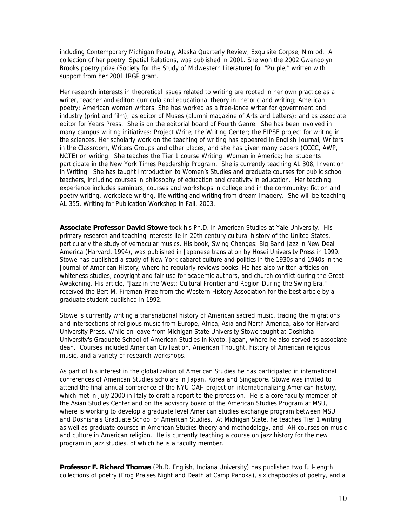including *Contemporary Michigan Poetry*, *Alaska Quarterly Review*, *Exquisite Corpse*, *Nimrod.* A collection of her poetry, *Spatial Relations*, was published in 2001. She won the 2002 Gwendolyn Brooks poetry prize (Society for the Study of Midwestern Literature) for "Purple," written with support from her 2001 IRGP grant.

Her research interests in theoretical issues related to writing are rooted in her own practice as a writer, teacher and editor: curricula and educational theory in rhetoric and writing; American poetry; American women writers. She has worked as a free-lance writer for government and industry (print and film); as editor of *Muses* (alumni magazine of Arts and Letters); and as associate editor for Years Press. She is on the editorial board of *Fourth Genre*. She has been involved in many campus writing initiatives: Project Write; the Writing Center; the FIPSE project for writing in the sciences. Her scholarly work on the teaching of writing has appeared in *English Journal, Writers in the Classroom, Writers Groups* and other places, and she has given many papers (CCCC, AWP, NCTE) on writing. She teaches the Tier 1 course Writing: Women in America; her students participate in the New York Times Readership Program. She is currently teaching AL 308, Invention in Writing. She has taught Introduction to Women's Studies and graduate courses for public school teachers, including courses in philosophy of education and creativity in education. Her teaching experience includes seminars, courses and workshops in college and in the community: fiction and poetry writing, workplace writing, life writing and writing from dream imagery. She will be teaching AL 355, Writing for Publication Workshop in Fall, 2003.

**Associate Professor David Stowe** took his Ph.D. in American Studies at Yale University. His primary research and teaching interests lie in 20th century cultural history of the United States, particularly the study of vernacular musics. His book, *Swing Changes: Big Band Jazz in New Deal America* (Harvard, 1994), was published in Japanese translation by Hosei University Press in 1999. Stowe has published a study of New York cabaret culture and politics in the 1930s and 1940s in the *Journal of American History*, where he regularly reviews books. He has also written articles on whiteness studies, copyright and fair use for academic authors, and church conflict during the Great Awakening. His article, "Jazz in the West: Cultural Frontier and Region During the Swing Era," received the Bert M. Fireman Prize from the Western History Association for the best article by a graduate student published in 1992.

Stowe is currently writing a transnational history of American sacred music, tracing the migrations and intersections of religious music from Europe, Africa, Asia and North America, also for Harvard University Press. While on leave from Michigan State University Stowe taught at Doshisha University's Graduate School of American Studies in Kyoto, Japan, where he also served as associate dean. Courses included American Civilization, American Thought, history of American religious music, and a variety of research workshops.

As part of his interest in the globalization of American Studies he has participated in international conferences of American Studies scholars in Japan, Korea and Singapore. Stowe was invited to attend the final annual conference of the NYU-OAH project on internationalizing American history, which met in July 2000 in Italy to draft a report to the profession. He is a core faculty member of the Asian Studies Center and on the advisory board of the American Studies Program at MSU, where is working to develop a graduate level American studies exchange program between MSU and Doshisha's Graduate School of American Studies. At Michigan State, he teaches Tier 1 writing as well as graduate courses in American Studies theory and methodology, and IAH courses on music and culture in American religion. He is currently teaching a course on jazz history for the new program in jazz studies, of which he is a faculty member.

**Professor F. Richard Thomas** (Ph.D. English, Indiana University) has published two full-length collections of poetry (*Frog Praises Night* and *Death at Camp Pahoka*), six chapbooks of poetry, and a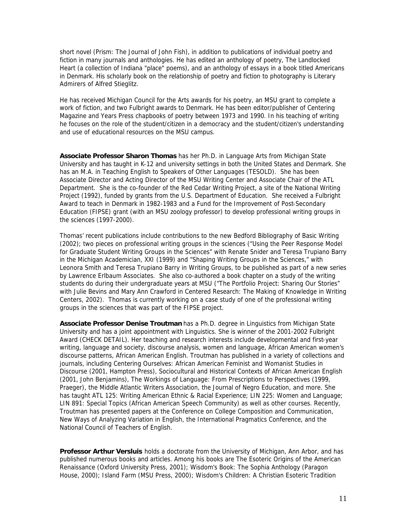short novel (*Prism: The Journal of John Fish*), in addition to publications of individual poetry and fiction in many journals and anthologies. He has edited an anthology of poetry, *The Landlocked Hear*t (a collection of Indiana "place" poems), and an anthology of essays in a book titled Americans in Denmark. His scholarly book on the relationship of poetry and fiction to photography is *Literary Admirers of Alfred Stieglitz.* 

He has received Michigan Council for the Arts awards for his poetry, an MSU grant to complete a work of fiction, and two Fulbright awards to Denmark. He has been editor/publisher of *Centering*  Magazine and Years Press chapbooks of poetry between 1973 and 1990. In his teaching of writing he focuses on the role of the student/citizen in a democracy and the student/citizen's understanding and use of educational resources on the MSU campus.

**Associate Professor Sharon Thomas** has her Ph.D. in Language Arts from Michigan State University and has taught in K-12 and university settings in both the United States and Denmark. She has an M.A. in Teaching English to Speakers of Other Languages (TESOLD). She has been Associate Director and Acting Director of the MSU Writing Center and Associate Chair of the ATL Department. She is the co-founder of the Red Cedar Writing Project, a site of the National Writing Project (1992), funded by grants from the U.S. Department of Education. She received a Fulbright Award to teach in Denmark in 1982-1983 and a Fund for the Improvement of Post-Secondary Education (FIPSE) grant (with an MSU zoology professor) to develop professional writing groups in the sciences (1997-2000).

Thomas' recent publications include contributions to the new Bedford Bibliography of Basic Writing (2002); two pieces on professional writing groups in the sciences ("Using the Peer Response Model for Graduate Student Writing Groups in the Sciences" with Renate Snider and Teresa Trupiano Barry in the *Michigan Academician*, XXI (1999) and "Shaping Writing Groups in the Sciences," with Leonora Smith and Teresa Trupiano Barry in *Writing Groups*, to be published as part of a new series by Lawrence Erlbaum Associates. She also co-authored a book chapter on a study of the writing students do during their undergraduate years at MSU ("The Portfolio Project: Sharing Our Stories" with Julie Bevins and Mary Ann Crawford *in Centered Research: The Making of Knowledge in Writing Centers*, 2002). Thomas is currently working on a case study of one of the professional writing groups in the sciences that was part of the FIPSE project.

**Associate Professor Denise Troutman** has a Ph.D. degree in Linguistics from Michigan State University and has a joint appointment with Linguistics. She is winner of the 2001-2002 Fulbright Award (CHECK DETAIL). Her teaching and research interests include developmental and first-year writing, language and society, discourse analysis, women and language, African American women's discourse patterns, African American English. Troutman has published in a variety of collections and journals, including *Centering Ourselves: African American Feminist and Womanist Studies in Discourse* (2001, Hampton Press), *Sociocultural and Historical Contexts of African American English* (2001, John Benjamins), *The Workings of Language: From Prescriptions to Perspectives* (1999, Praeger), the *Middle Atlantic Writers Association*, the *Journal of Negro Education*, and more. She has taught ATL 125: Writing American Ethnic & Racial Experience; LIN 225: Women and Language; LIN 891: Special Topics (African American Speech Community) as well as other courses. Recently, Troutman has presented papers at the Conference on College Composition and Communication, New Ways of Analyzing Variation in English, the International Pragmatics Conference, and the National Council of Teachers of English.

**Professor Arthur Versluis** holds a doctorate from the University of Michigan, Ann Arbor, and has published numerous books and articles. Among his books are *The Esoteric Origins of the American Renaissance* (Oxford University Press, 2001); *Wisdom's Book: The Sophia Anthology* (Paragon House, 2000); *Island Farm* (MSU Press, 2000); *Wisdom's Children: A Christian Esoteric Tradition*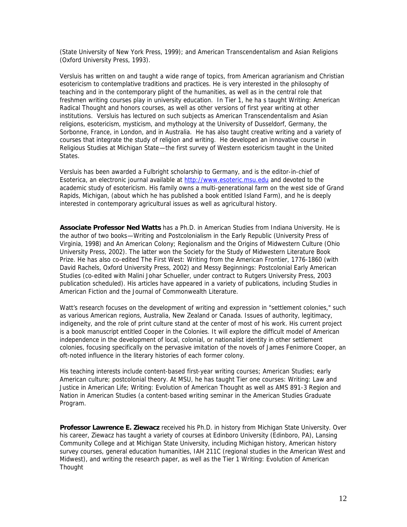(State University of New York Press, 1999); and *American Transcendentalism and Asian Religions* (Oxford University Press, 1993).

Versluis has written on and taught a wide range of topics, from American agrarianism and Christian esotericism to contemplative traditions and practices. He is very interested in the philosophy of teaching and in the contemporary plight of the humanities, as well as in the central role that freshmen writing courses play in university education. In Tier 1, he ha s taught Writing: American Radical Thought and honors courses, as well as other versions of first year writing at other institutions. Versluis has lectured on such subjects as American Transcendentalism and Asian religions, esotericism, mysticism, and mythology at the University of Dusseldorf, Germany, the Sorbonne, France, in London, and in Australia. He has also taught creative writing and a variety of courses that integrate the study of religion and writing. He developed an innovative course in Religious Studies at Michigan State—the first survey of Western esotericism taught in the United States.

Versluis has been awarded a Fulbright scholarship to Germany, and is the editor-in-chief of *Esoterica*, an electronic journal available at http://www.esoteric.msu.edu and devoted to the academic study of esotericism. His family owns a multi-generational farm on the west side of Grand Rapids, Michigan, (about which he has published a book entitled *Island Farm*), and he is deeply interested in contemporary agricultural issues as well as agricultural history.

**Associate Professor Ned Watts** has a Ph.D. in American Studies from Indiana University. He is the author of two books—*Writing and Postcolonialism in the Early Republic* (University Press of Virginia, 1998) and *An American Colony; Regionalism and the Origins of Midwestern Culture* (Ohio University Press, 2002). The latter won the Society for the Study of Midwestern Literature Book Prize. He has also co-edited *The First West: Writing from the American Frontier, 1776-1860* (with David Rachels, Oxford University Press, 2002) and *Messy Beginnings: Postcolonial Early American Studies* (co-edited with Malini Johar Schueller, under contract to Rutgers University Press, 2003 publication scheduled). His articles have appeared in a variety of publications, including *Studies in American Fiction* and the *Journal of Commonwealth Literature*.

Watt's research focuses on the development of writing and expression in "settlement colonies," such as various American regions, Australia, New Zealand or Canada. Issues of authority, legitimacy, indigeneity, and the role of print culture stand at the center of most of his work. His current project is a book manuscript entitled Cooper in the Colonies. It will explore the difficult model of American independence in the development of local, colonial, or nationalist identity in other settlement colonies, focusing specifically on the pervasive imitation of the novels of James Fenimore Cooper, an oft-noted influence in the literary histories of each former colony.

His teaching interests include content-based first-year writing courses; American Studies; early American culture; postcolonial theory. At MSU, he has taught Tier one courses: Writing: Law and Justice in American Life; Writing: Evolution of American Thought as well as AMS 891-3 Region and Nation in American Studies (a content-based writing seminar in the American Studies Graduate Program.

**Professor Lawrence E. Ziewacz** received his Ph.D. in history from Michigan State University. Over his career, Ziewacz has taught a variety of courses at Edinboro University (Edinboro, PA), Lansing Community College and at Michigan State University, including Michigan history, American history survey courses, general education humanities, IAH 211C (regional studies in the American West and Midwest), and writing the research paper, as well as the Tier 1 Writing: Evolution of American **Thought**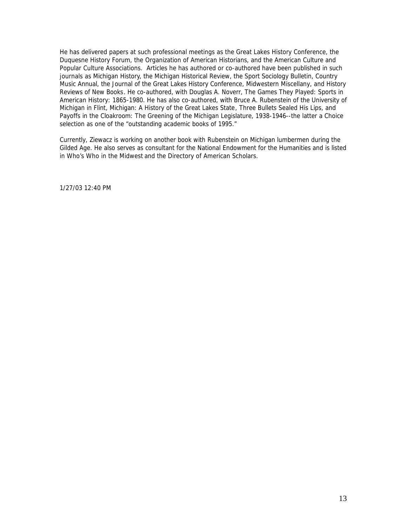He has delivered papers at such professional meetings as the Great Lakes History Conference, the Duquesne History Forum, the Organization of American Historians, and the American Culture and Popular Culture Associations. Articles he has authored or co-authored have been published in such journals as *Michigan History*, the *Michigan Historical Review*, the *Sport Sociology Bulletin*, *Country Music Annual*, the *Journal of the Great Lakes History Conference*, *Midwestern Miscellany*, and *History Reviews of New Books*. He co-authored, with Douglas A. Noverr, *The Games They Played: Sports in American History: 1865-1980*. He has also co-authored, with Bruce A. Rubenstein of the University of Michigan in Flint, *Michigan: A History of the Great Lakes State*, *Three Bullets Sealed His Lips*, and Payoffs in the Cloakroom: The Greening of the Michigan Legislature, 1938-1946--the latter a Choice selection as one of the "outstanding academic books of 1995."

Currently, Ziewacz is working on another book with Rubenstein on Michigan lumbermen during the Gilded Age. He also serves as consultant for the National Endowment for the Humanities and is listed in *Who's Who in the Midwest* and the *Directory of American Scholars.*

1/27/03 12:40 PM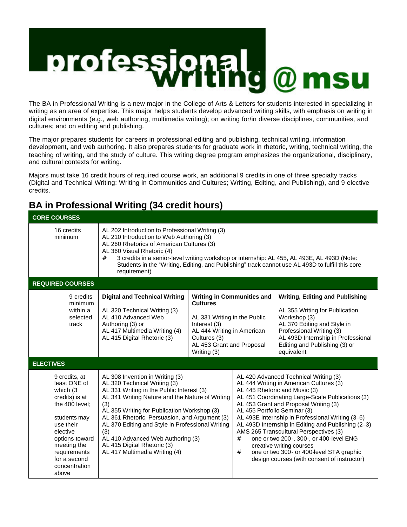# profess **onal<br>ritin**d @ msu

The BA in Professional Writing is a new major in the College of Arts & Letters for students interested in specializing in writing as an area of expertise. This major helps students develop advanced writing skills, with emphasis on writing in digital environments (e.g., web authoring, multimedia writing); on writing for/in diverse disciplines, communities, and cultures; and on editing and publishing.

The major prepares students for careers in professional editing and publishing, technical writing, information development, and web authoring. It also prepares students for graduate work in rhetoric, writing, technical writing, the teaching of writing, and the study of culture. This writing degree program emphasizes the organizational, disciplinary, and cultural contexts for writing.

Majors must take 16 credit hours of required course work, an additional 9 credits in one of three specialty tracks (Digital and Technical Writing; Writing in Communities and Cultures; Writing, Editing, and Publishing), and 9 elective credits.

# **BA in Professional Writing (34 credit hours)**

| <b>CORE COURSES</b>                                                                                                                                                                                               |                                                                                                                                                                                                                                                                                                                                                                                                                                        |                                                                                                                                                                                                |                                                                                                                                                                                                                                                                                                                                                                                                                                                                                                                                                                                |                                                                                                                                                                                                                                          |  |  |  |  |
|-------------------------------------------------------------------------------------------------------------------------------------------------------------------------------------------------------------------|----------------------------------------------------------------------------------------------------------------------------------------------------------------------------------------------------------------------------------------------------------------------------------------------------------------------------------------------------------------------------------------------------------------------------------------|------------------------------------------------------------------------------------------------------------------------------------------------------------------------------------------------|--------------------------------------------------------------------------------------------------------------------------------------------------------------------------------------------------------------------------------------------------------------------------------------------------------------------------------------------------------------------------------------------------------------------------------------------------------------------------------------------------------------------------------------------------------------------------------|------------------------------------------------------------------------------------------------------------------------------------------------------------------------------------------------------------------------------------------|--|--|--|--|
| 16 credits<br>minimum                                                                                                                                                                                             | AL 202 Introduction to Professional Writing (3)<br>AL 210 Introduction to Web Authoring (3)<br>AL 260 Rhetorics of American Cultures (3)<br>AL 360 Visual Rhetoric (4)<br>#<br>3 credits in a senior-level writing workshop or internship: AL 455, AL 493E, AL 493D (Note:<br>Students in the "Writing, Editing, and Publishing" track cannot use AL 493D to fulfill this core<br>requirement)                                         |                                                                                                                                                                                                |                                                                                                                                                                                                                                                                                                                                                                                                                                                                                                                                                                                |                                                                                                                                                                                                                                          |  |  |  |  |
| <b>REQUIRED COURSES</b>                                                                                                                                                                                           |                                                                                                                                                                                                                                                                                                                                                                                                                                        |                                                                                                                                                                                                |                                                                                                                                                                                                                                                                                                                                                                                                                                                                                                                                                                                |                                                                                                                                                                                                                                          |  |  |  |  |
| 9 credits<br>minimum<br>within a<br>selected<br>track                                                                                                                                                             | <b>Digital and Technical Writing</b><br>AL 320 Technical Writing (3)<br>AL 410 Advanced Web<br>Authoring (3) or<br>AL 417 Multimedia Writing (4)<br>AL 415 Digital Rhetoric (3)                                                                                                                                                                                                                                                        | <b>Writing in Communities and</b><br><b>Cultures</b><br>AL 331 Writing in the Public<br>Interest (3)<br>AL 444 Writing in American<br>Cultures (3)<br>AL 453 Grant and Proposal<br>Writing (3) |                                                                                                                                                                                                                                                                                                                                                                                                                                                                                                                                                                                | <b>Writing, Editing and Publishing</b><br>AL 355 Writing for Publication<br>Workshop (3)<br>AL 370 Editing and Style in<br>Professional Writing (3)<br>AL 493D Internship in Professional<br>Editing and Publishing (3) or<br>equivalent |  |  |  |  |
| <b>ELECTIVES</b>                                                                                                                                                                                                  |                                                                                                                                                                                                                                                                                                                                                                                                                                        |                                                                                                                                                                                                |                                                                                                                                                                                                                                                                                                                                                                                                                                                                                                                                                                                |                                                                                                                                                                                                                                          |  |  |  |  |
| 9 credits, at<br>least ONE of<br>which (3<br>credits) is at<br>the 400 level;<br>students may<br>use their<br>elective<br>options toward<br>meeting the<br>requirements<br>for a second<br>concentration<br>above | AL 308 Invention in Writing (3)<br>AL 320 Technical Writing (3)<br>AL 331 Writing in the Public Interest (3)<br>AL 341 Writing Nature and the Nature of Writing<br>(3)<br>AL 355 Writing for Publication Workshop (3)<br>AL 361 Rhetoric, Persuasion, and Argument (3)<br>AL 370 Editing and Style in Professional Writing<br>(3)<br>AL 410 Advanced Web Authoring (3)<br>AL 415 Digital Rhetoric (3)<br>AL 417 Multimedia Writing (4) |                                                                                                                                                                                                | AL 420 Advanced Technical Writing (3)<br>AL 444 Writing in American Cultures (3)<br>AL 445 Rhetoric and Music (3)<br>AL 451 Coordinating Large-Scale Publications (3)<br>AL 453 Grant and Proposal Writing (3)<br>AL 455 Portfolio Seminar (3)<br>AL 493E Internship in Professional Writing (3-6)<br>AL 493D Internship in Editing and Publishing (2-3)<br>AMS 265 Transcultural Perspectives (3)<br>one or two 200-, 300-, or 400-level ENG<br>#<br>creative writing courses<br>#<br>one or two 300- or 400-level STA graphic<br>design courses (with consent of instructor) |                                                                                                                                                                                                                                          |  |  |  |  |